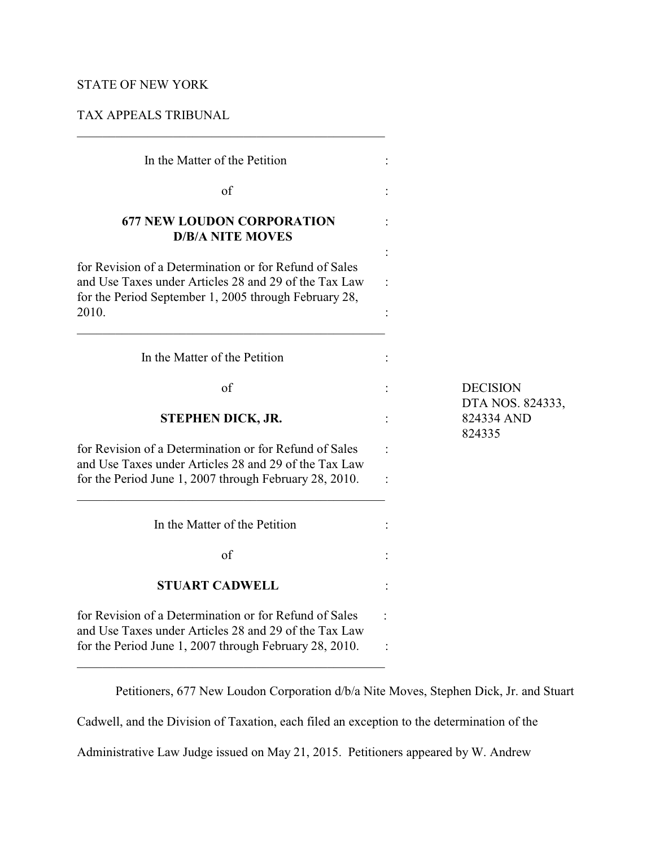# STATE OF NEW YORK

## TAX APPEALS TRIBUNAL

| In the Matter of the Petition                                                                                                                                                     |                                          |
|-----------------------------------------------------------------------------------------------------------------------------------------------------------------------------------|------------------------------------------|
| $\sigma$ f                                                                                                                                                                        |                                          |
| <b>677 NEW LOUDON CORPORATION</b><br><b>D/B/A NITE MOVES</b>                                                                                                                      |                                          |
| for Revision of a Determination or for Refund of Sales<br>and Use Taxes under Articles 28 and 29 of the Tax Law<br>for the Period September 1, 2005 through February 28,<br>2010. |                                          |
| In the Matter of the Petition                                                                                                                                                     |                                          |
| of                                                                                                                                                                                | <b>DECISION</b>                          |
| STEPHEN DICK, JR.                                                                                                                                                                 | DTA NOS. 824333,<br>824334 AND<br>824335 |
| for Revision of a Determination or for Refund of Sales<br>and Use Taxes under Articles 28 and 29 of the Tax Law<br>for the Period June 1, 2007 through February 28, 2010.         |                                          |
| In the Matter of the Petition                                                                                                                                                     |                                          |
| of                                                                                                                                                                                |                                          |
| <b>STUART CADWELL</b>                                                                                                                                                             |                                          |
| for Revision of a Determination or for Refund of Sales<br>and Use Taxes under Articles 28 and 29 of the Tax Law<br>for the Period June 1, 2007 through February 28, 2010.         |                                          |
|                                                                                                                                                                                   |                                          |

Petitioners, 677 New Loudon Corporation d/b/a Nite Moves, Stephen Dick, Jr. and Stuart

Cadwell, and the Division of Taxation, each filed an exception to the determination of the

Administrative Law Judge issued on May 21, 2015. Petitioners appeared by W. Andrew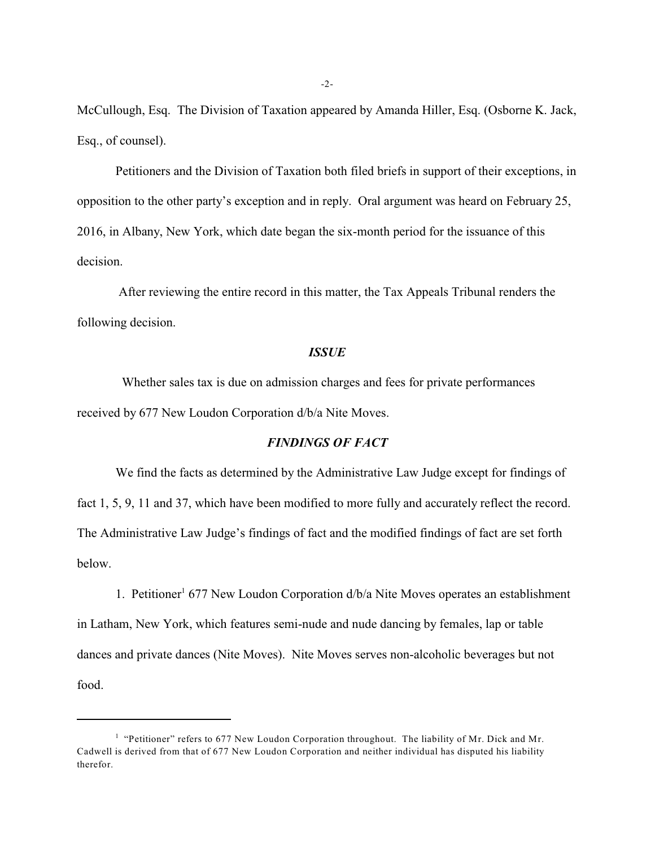McCullough, Esq. The Division of Taxation appeared by Amanda Hiller, Esq. (Osborne K. Jack, Esq., of counsel).

Petitioners and the Division of Taxation both filed briefs in support of their exceptions, in opposition to the other party's exception and in reply. Oral argument was heard on February 25, 2016, in Albany, New York, which date began the six-month period for the issuance of this decision.

 After reviewing the entire record in this matter, the Tax Appeals Tribunal renders the following decision.

### *ISSUE*

 Whether sales tax is due on admission charges and fees for private performances received by 677 New Loudon Corporation d/b/a Nite Moves.

### *FINDINGS OF FACT*

We find the facts as determined by the Administrative Law Judge except for findings of fact 1, 5, 9, 11 and 37, which have been modified to more fully and accurately reflect the record. The Administrative Law Judge's findings of fact and the modified findings of fact are set forth below.

1. Petitioner<sup>1</sup> 677 New Loudon Corporation  $d/b/a$  Nite Moves operates an establishment in Latham, New York, which features semi-nude and nude dancing by females, lap or table dances and private dances (Nite Moves). Nite Moves serves non-alcoholic beverages but not food.

 $<sup>1</sup>$  "Petitioner" refers to 677 New Loudon Corporation throughout. The liability of Mr. Dick and Mr.</sup> Cadwell is derived from that of 677 New Loudon Corporation and neither individual has disputed his liability therefor.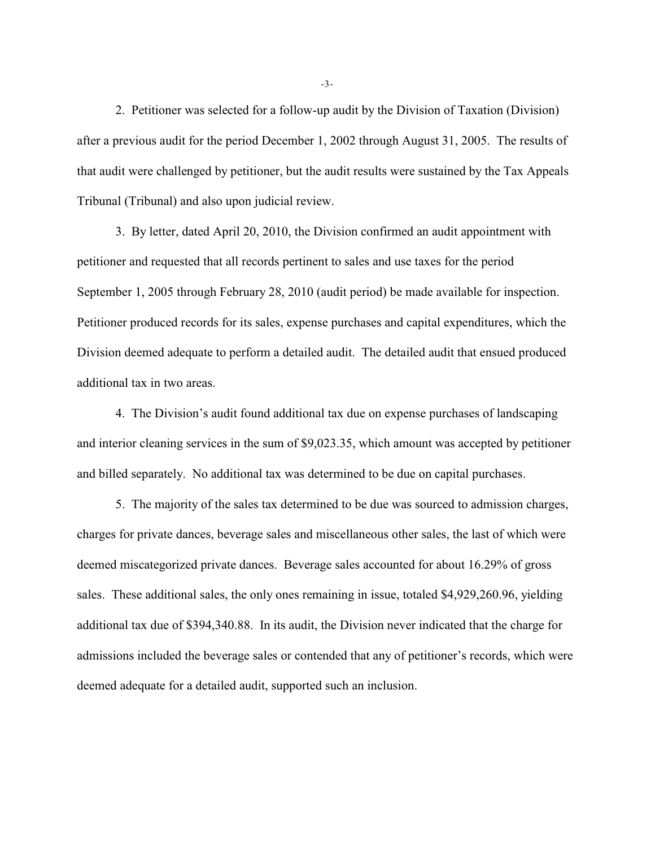2. Petitioner was selected for a follow-up audit by the Division of Taxation (Division) after a previous audit for the period December 1, 2002 through August 31, 2005. The results of that audit were challenged by petitioner, but the audit results were sustained by the Tax Appeals Tribunal (Tribunal) and also upon judicial review.

3. By letter, dated April 20, 2010, the Division confirmed an audit appointment with petitioner and requested that all records pertinent to sales and use taxes for the period September 1, 2005 through February 28, 2010 (audit period) be made available for inspection. Petitioner produced records for its sales, expense purchases and capital expenditures, which the Division deemed adequate to perform a detailed audit. The detailed audit that ensued produced additional tax in two areas.

4. The Division's audit found additional tax due on expense purchases of landscaping and interior cleaning services in the sum of \$9,023.35, which amount was accepted by petitioner and billed separately. No additional tax was determined to be due on capital purchases.

5. The majority of the sales tax determined to be due was sourced to admission charges, charges for private dances, beverage sales and miscellaneous other sales, the last of which were deemed miscategorized private dances. Beverage sales accounted for about 16.29% of gross sales. These additional sales, the only ones remaining in issue, totaled \$4,929,260.96, yielding additional tax due of \$394,340.88. In its audit, the Division never indicated that the charge for admissions included the beverage sales or contended that any of petitioner's records, which were deemed adequate for a detailed audit, supported such an inclusion.

-3-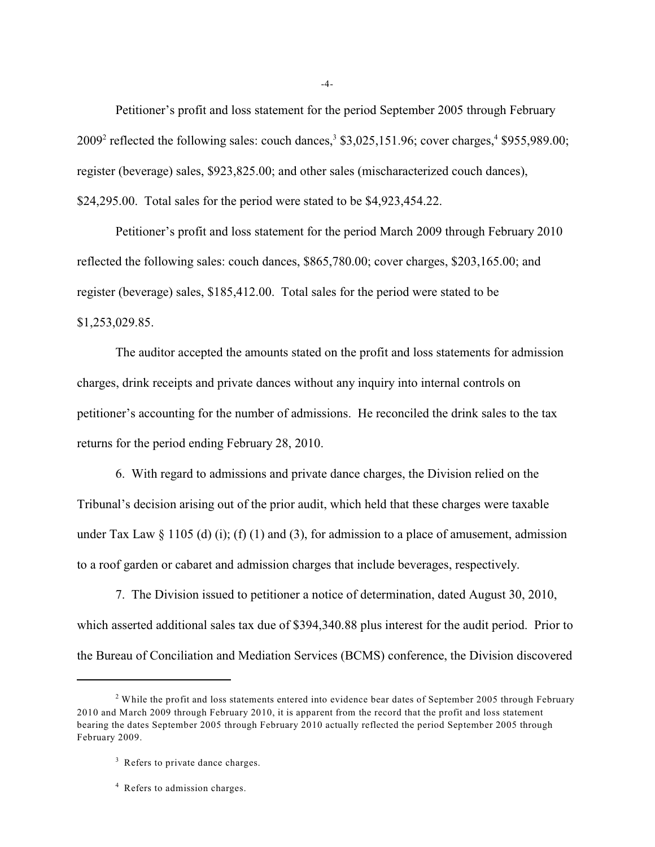Petitioner's profit and loss statement for the period September 2005 through February  $2009<sup>2</sup>$  reflected the following sales: couch dances,<sup>3</sup> \$3,025,151.96; cover charges,<sup>4</sup> \$955,989.00; register (beverage) sales, \$923,825.00; and other sales (mischaracterized couch dances), \$24,295.00. Total sales for the period were stated to be \$4,923,454.22.

Petitioner's profit and loss statement for the period March 2009 through February 2010 reflected the following sales: couch dances, \$865,780.00; cover charges, \$203,165.00; and register (beverage) sales, \$185,412.00. Total sales for the period were stated to be \$1,253,029.85.

The auditor accepted the amounts stated on the profit and loss statements for admission charges, drink receipts and private dances without any inquiry into internal controls on petitioner's accounting for the number of admissions. He reconciled the drink sales to the tax returns for the period ending February 28, 2010.

6. With regard to admissions and private dance charges, the Division relied on the Tribunal's decision arising out of the prior audit, which held that these charges were taxable under Tax Law  $\S$  1105 (d) (i); (f) (1) and (3), for admission to a place of amusement, admission to a roof garden or cabaret and admission charges that include beverages, respectively.

7. The Division issued to petitioner a notice of determination, dated August 30, 2010, which asserted additional sales tax due of \$394,340.88 plus interest for the audit period. Prior to the Bureau of Conciliation and Mediation Services (BCMS) conference, the Division discovered

-4-

 $2$  While the profit and loss statements entered into evidence bear dates of September 2005 through February 2010 and March 2009 through February 2010, it is apparent from the record that the profit and loss statement bearing the dates September 2005 through February 2010 actually reflected the period September 2005 through February 2009.

 $3$  Refers to private dance charges.

<sup>&</sup>lt;sup>4</sup> Refers to admission charges.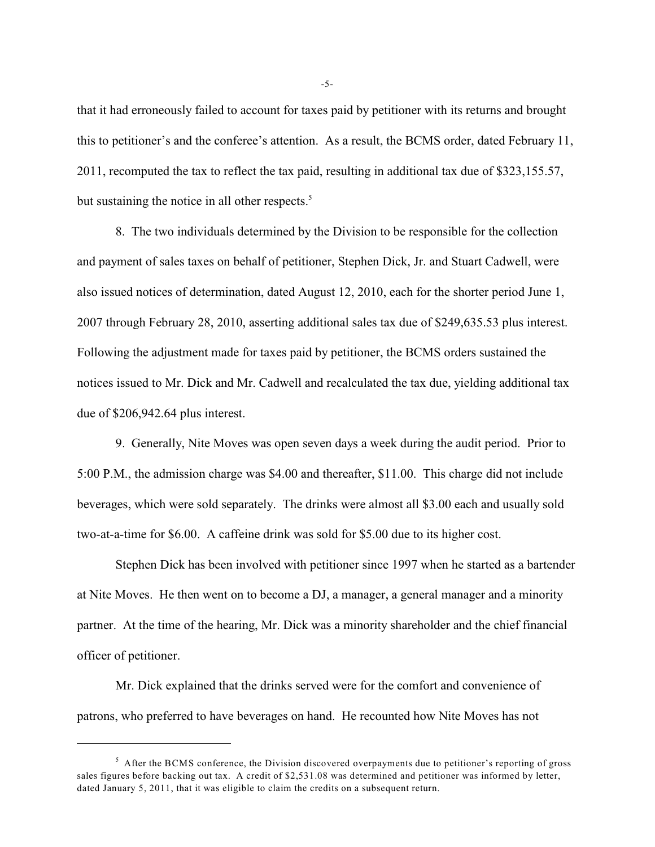that it had erroneously failed to account for taxes paid by petitioner with its returns and brought this to petitioner's and the conferee's attention. As a result, the BCMS order, dated February 11, 2011, recomputed the tax to reflect the tax paid, resulting in additional tax due of \$323,155.57, but sustaining the notice in all other respects. $5$ 

8. The two individuals determined by the Division to be responsible for the collection and payment of sales taxes on behalf of petitioner, Stephen Dick, Jr. and Stuart Cadwell, were also issued notices of determination, dated August 12, 2010, each for the shorter period June 1, 2007 through February 28, 2010, asserting additional sales tax due of \$249,635.53 plus interest. Following the adjustment made for taxes paid by petitioner, the BCMS orders sustained the notices issued to Mr. Dick and Mr. Cadwell and recalculated the tax due, yielding additional tax due of \$206,942.64 plus interest.

9. Generally, Nite Moves was open seven days a week during the audit period. Prior to 5:00 P.M., the admission charge was \$4.00 and thereafter, \$11.00. This charge did not include beverages, which were sold separately. The drinks were almost all \$3.00 each and usually sold two-at-a-time for \$6.00. A caffeine drink was sold for \$5.00 due to its higher cost.

Stephen Dick has been involved with petitioner since 1997 when he started as a bartender at Nite Moves. He then went on to become a DJ, a manager, a general manager and a minority partner. At the time of the hearing, Mr. Dick was a minority shareholder and the chief financial officer of petitioner.

Mr. Dick explained that the drinks served were for the comfort and convenience of patrons, who preferred to have beverages on hand. He recounted how Nite Moves has not

-5-

 $<sup>5</sup>$  After the BCMS conference, the Division discovered overpayments due to petitioner's reporting of gross</sup> sales figures before backing out tax. A credit of \$2,531.08 was determined and petitioner was informed by letter, dated January 5, 2011, that it was eligible to claim the credits on a subsequent return.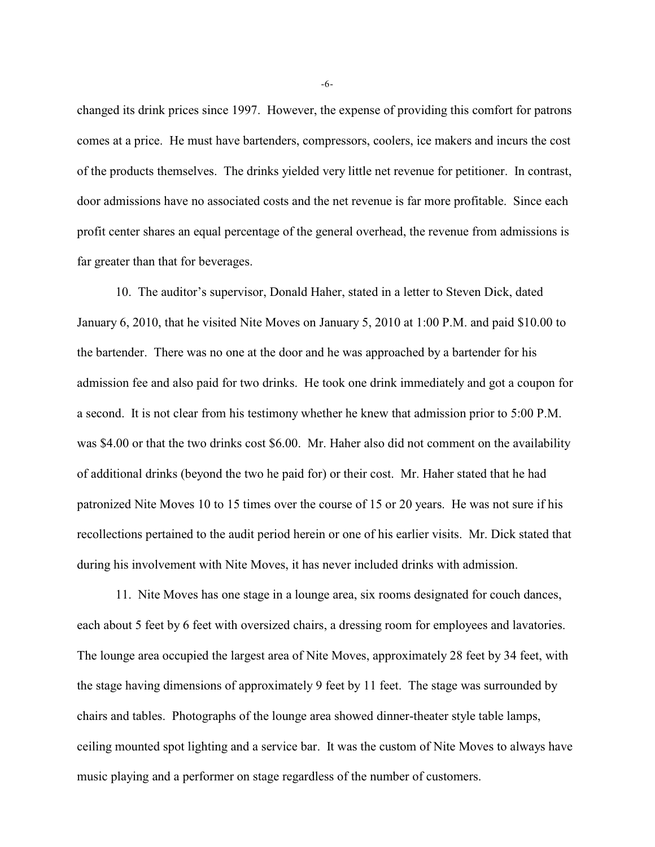changed its drink prices since 1997. However, the expense of providing this comfort for patrons comes at a price. He must have bartenders, compressors, coolers, ice makers and incurs the cost of the products themselves. The drinks yielded very little net revenue for petitioner. In contrast, door admissions have no associated costs and the net revenue is far more profitable. Since each profit center shares an equal percentage of the general overhead, the revenue from admissions is far greater than that for beverages.

10. The auditor's supervisor, Donald Haher, stated in a letter to Steven Dick, dated January 6, 2010, that he visited Nite Moves on January 5, 2010 at 1:00 P.M. and paid \$10.00 to the bartender. There was no one at the door and he was approached by a bartender for his admission fee and also paid for two drinks. He took one drink immediately and got a coupon for a second. It is not clear from his testimony whether he knew that admission prior to 5:00 P.M. was \$4.00 or that the two drinks cost \$6.00. Mr. Haher also did not comment on the availability of additional drinks (beyond the two he paid for) or their cost. Mr. Haher stated that he had patronized Nite Moves 10 to 15 times over the course of 15 or 20 years. He was not sure if his recollections pertained to the audit period herein or one of his earlier visits. Mr. Dick stated that during his involvement with Nite Moves, it has never included drinks with admission.

11. Nite Moves has one stage in a lounge area, six rooms designated for couch dances, each about 5 feet by 6 feet with oversized chairs, a dressing room for employees and lavatories. The lounge area occupied the largest area of Nite Moves, approximately 28 feet by 34 feet, with the stage having dimensions of approximately 9 feet by 11 feet. The stage was surrounded by chairs and tables. Photographs of the lounge area showed dinner-theater style table lamps, ceiling mounted spot lighting and a service bar. It was the custom of Nite Moves to always have music playing and a performer on stage regardless of the number of customers.

-6-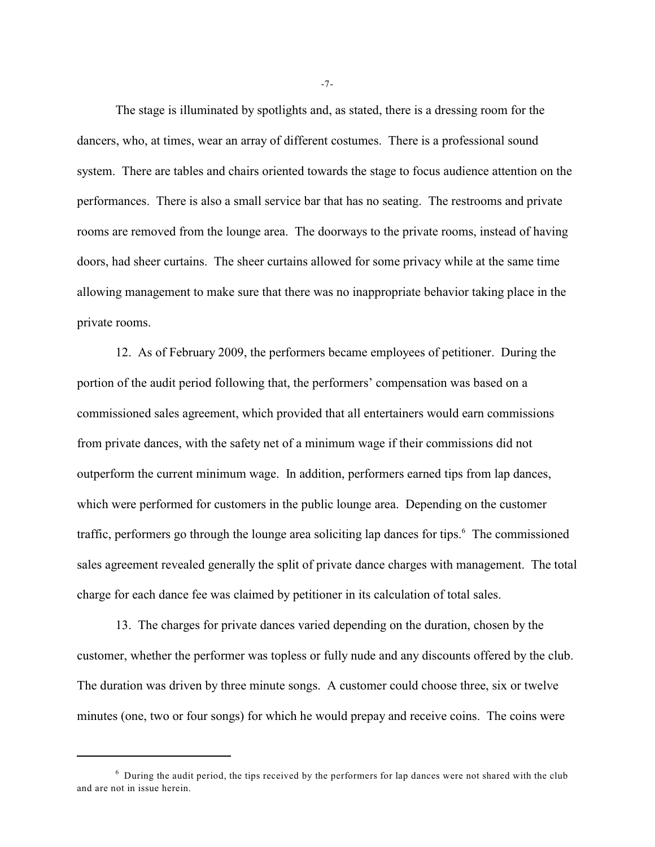The stage is illuminated by spotlights and, as stated, there is a dressing room for the dancers, who, at times, wear an array of different costumes. There is a professional sound system. There are tables and chairs oriented towards the stage to focus audience attention on the performances. There is also a small service bar that has no seating. The restrooms and private rooms are removed from the lounge area. The doorways to the private rooms, instead of having doors, had sheer curtains. The sheer curtains allowed for some privacy while at the same time allowing management to make sure that there was no inappropriate behavior taking place in the private rooms.

12. As of February 2009, the performers became employees of petitioner. During the portion of the audit period following that, the performers' compensation was based on a commissioned sales agreement, which provided that all entertainers would earn commissions from private dances, with the safety net of a minimum wage if their commissions did not outperform the current minimum wage. In addition, performers earned tips from lap dances, which were performed for customers in the public lounge area. Depending on the customer traffic, performers go through the lounge area soliciting lap dances for tips.<sup>6</sup> The commissioned sales agreement revealed generally the split of private dance charges with management. The total charge for each dance fee was claimed by petitioner in its calculation of total sales.

13. The charges for private dances varied depending on the duration, chosen by the customer, whether the performer was topless or fully nude and any discounts offered by the club. The duration was driven by three minute songs. A customer could choose three, six or twelve minutes (one, two or four songs) for which he would prepay and receive coins. The coins were

-7-

 $6$  During the audit period, the tips received by the performers for lap dances were not shared with the club and are not in issue herein.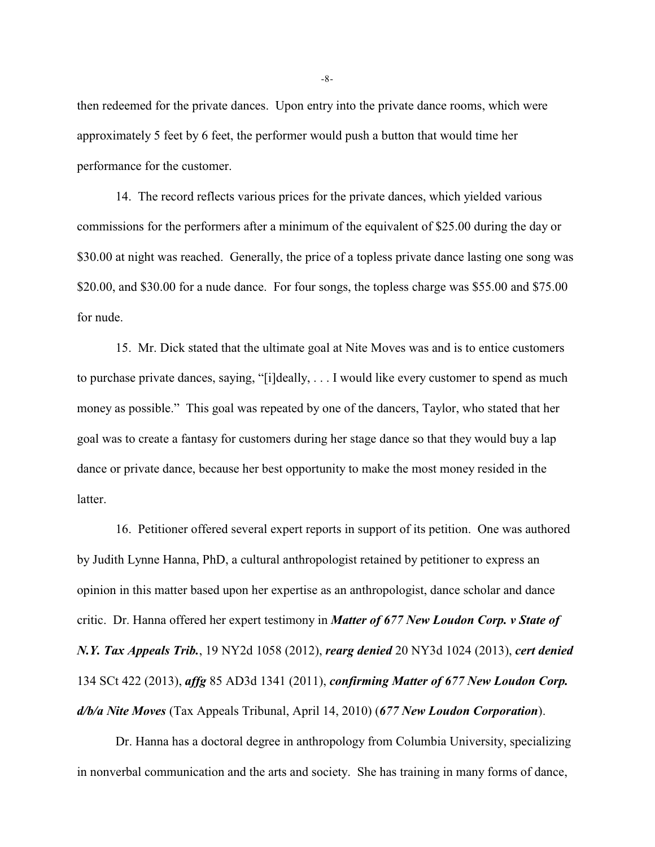then redeemed for the private dances. Upon entry into the private dance rooms, which were approximately 5 feet by 6 feet, the performer would push a button that would time her performance for the customer.

14. The record reflects various prices for the private dances, which yielded various commissions for the performers after a minimum of the equivalent of \$25.00 during the day or \$30.00 at night was reached. Generally, the price of a topless private dance lasting one song was \$20.00, and \$30.00 for a nude dance. For four songs, the topless charge was \$55.00 and \$75.00 for nude.

15. Mr. Dick stated that the ultimate goal at Nite Moves was and is to entice customers to purchase private dances, saying, "[i]deally, . . . I would like every customer to spend as much money as possible." This goal was repeated by one of the dancers, Taylor, who stated that her goal was to create a fantasy for customers during her stage dance so that they would buy a lap dance or private dance, because her best opportunity to make the most money resided in the latter.

16. Petitioner offered several expert reports in support of its petition. One was authored by Judith Lynne Hanna, PhD, a cultural anthropologist retained by petitioner to express an opinion in this matter based upon her expertise as an anthropologist, dance scholar and dance critic. Dr. Hanna offered her expert testimony in *Matter of 677 New Loudon Corp. v State of N.Y. Tax Appeals Trib.*, 19 NY2d 1058 (2012), *rearg denied* 20 NY3d 1024 (2013), *cert denied* 134 SCt 422 (2013), *affg* 85 AD3d 1341 (2011), *confirming Matter of 677 New Loudon Corp. d/b/a Nite Moves* (Tax Appeals Tribunal, April 14, 2010) (*677 New Loudon Corporation*).

Dr. Hanna has a doctoral degree in anthropology from Columbia University, specializing in nonverbal communication and the arts and society. She has training in many forms of dance,

-8-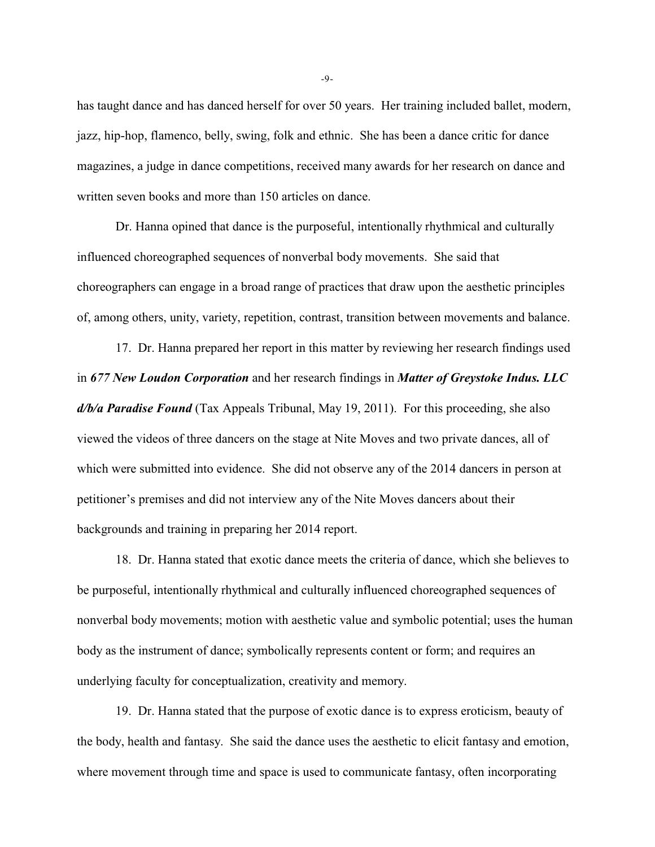has taught dance and has danced herself for over 50 years. Her training included ballet, modern, jazz, hip-hop, flamenco, belly, swing, folk and ethnic. She has been a dance critic for dance magazines, a judge in dance competitions, received many awards for her research on dance and written seven books and more than 150 articles on dance.

Dr. Hanna opined that dance is the purposeful, intentionally rhythmical and culturally influenced choreographed sequences of nonverbal body movements. She said that choreographers can engage in a broad range of practices that draw upon the aesthetic principles of, among others, unity, variety, repetition, contrast, transition between movements and balance.

17. Dr. Hanna prepared her report in this matter by reviewing her research findings used in *677 New Loudon Corporation* and her research findings in *Matter of Greystoke Indus. LLC d/b/a Paradise Found* (Tax Appeals Tribunal, May 19, 2011). For this proceeding, she also viewed the videos of three dancers on the stage at Nite Moves and two private dances, all of which were submitted into evidence. She did not observe any of the 2014 dancers in person at petitioner's premises and did not interview any of the Nite Moves dancers about their backgrounds and training in preparing her 2014 report.

18. Dr. Hanna stated that exotic dance meets the criteria of dance, which she believes to be purposeful, intentionally rhythmical and culturally influenced choreographed sequences of nonverbal body movements; motion with aesthetic value and symbolic potential; uses the human body as the instrument of dance; symbolically represents content or form; and requires an underlying faculty for conceptualization, creativity and memory.

19. Dr. Hanna stated that the purpose of exotic dance is to express eroticism, beauty of the body, health and fantasy. She said the dance uses the aesthetic to elicit fantasy and emotion, where movement through time and space is used to communicate fantasy, often incorporating

-9-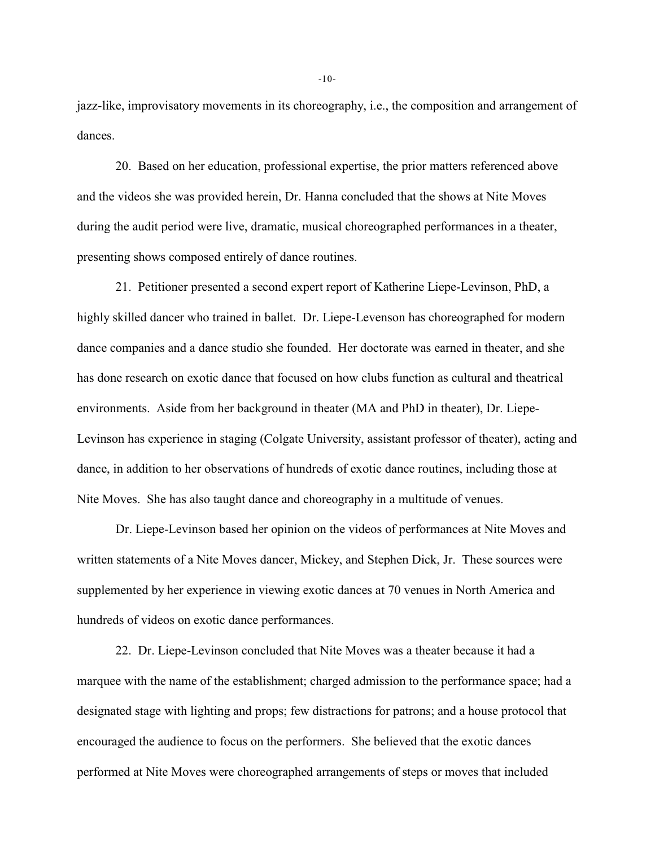jazz-like, improvisatory movements in its choreography, i.e., the composition and arrangement of dances.

20. Based on her education, professional expertise, the prior matters referenced above and the videos she was provided herein, Dr. Hanna concluded that the shows at Nite Moves during the audit period were live, dramatic, musical choreographed performances in a theater, presenting shows composed entirely of dance routines.

21. Petitioner presented a second expert report of Katherine Liepe-Levinson, PhD, a highly skilled dancer who trained in ballet. Dr. Liepe-Levenson has choreographed for modern dance companies and a dance studio she founded. Her doctorate was earned in theater, and she has done research on exotic dance that focused on how clubs function as cultural and theatrical environments. Aside from her background in theater (MA and PhD in theater), Dr. Liepe-Levinson has experience in staging (Colgate University, assistant professor of theater), acting and dance, in addition to her observations of hundreds of exotic dance routines, including those at Nite Moves. She has also taught dance and choreography in a multitude of venues.

Dr. Liepe-Levinson based her opinion on the videos of performances at Nite Moves and written statements of a Nite Moves dancer, Mickey, and Stephen Dick, Jr. These sources were supplemented by her experience in viewing exotic dances at 70 venues in North America and hundreds of videos on exotic dance performances.

22. Dr. Liepe-Levinson concluded that Nite Moves was a theater because it had a marquee with the name of the establishment; charged admission to the performance space; had a designated stage with lighting and props; few distractions for patrons; and a house protocol that encouraged the audience to focus on the performers. She believed that the exotic dances performed at Nite Moves were choreographed arrangements of steps or moves that included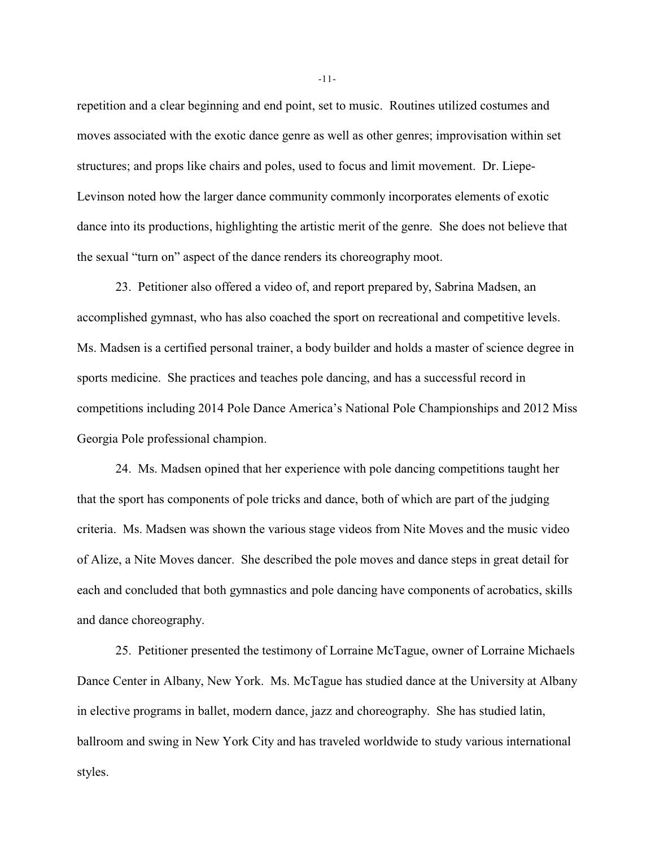repetition and a clear beginning and end point, set to music. Routines utilized costumes and moves associated with the exotic dance genre as well as other genres; improvisation within set structures; and props like chairs and poles, used to focus and limit movement. Dr. Liepe-Levinson noted how the larger dance community commonly incorporates elements of exotic dance into its productions, highlighting the artistic merit of the genre. She does not believe that the sexual "turn on" aspect of the dance renders its choreography moot.

23. Petitioner also offered a video of, and report prepared by, Sabrina Madsen, an accomplished gymnast, who has also coached the sport on recreational and competitive levels. Ms. Madsen is a certified personal trainer, a body builder and holds a master of science degree in sports medicine. She practices and teaches pole dancing, and has a successful record in competitions including 2014 Pole Dance America's National Pole Championships and 2012 Miss Georgia Pole professional champion.

24. Ms. Madsen opined that her experience with pole dancing competitions taught her that the sport has components of pole tricks and dance, both of which are part of the judging criteria. Ms. Madsen was shown the various stage videos from Nite Moves and the music video of Alize, a Nite Moves dancer. She described the pole moves and dance steps in great detail for each and concluded that both gymnastics and pole dancing have components of acrobatics, skills and dance choreography.

25. Petitioner presented the testimony of Lorraine McTague, owner of Lorraine Michaels Dance Center in Albany, New York. Ms. McTague has studied dance at the University at Albany in elective programs in ballet, modern dance, jazz and choreography. She has studied latin, ballroom and swing in New York City and has traveled worldwide to study various international styles.

-11-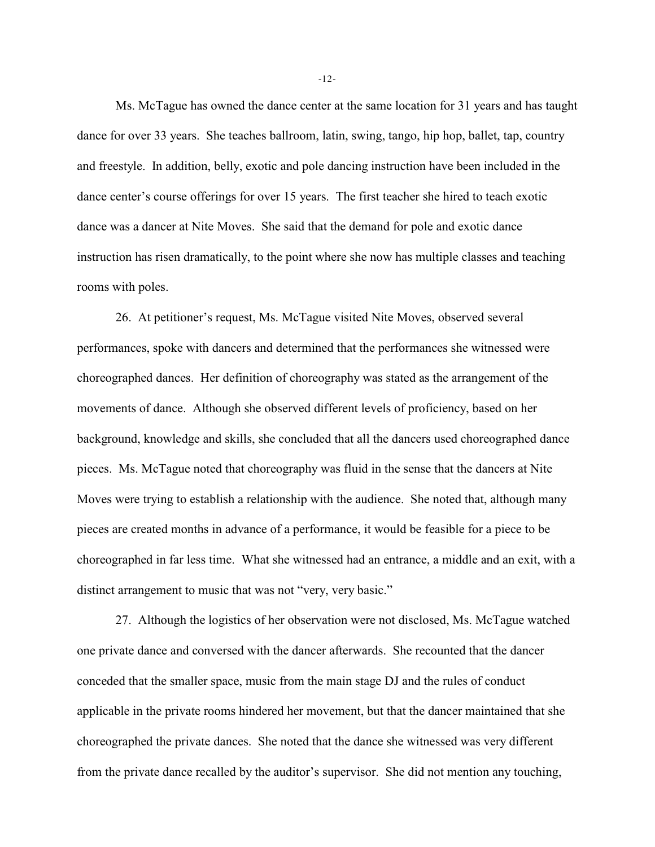Ms. McTague has owned the dance center at the same location for 31 years and has taught dance for over 33 years. She teaches ballroom, latin, swing, tango, hip hop, ballet, tap, country and freestyle. In addition, belly, exotic and pole dancing instruction have been included in the dance center's course offerings for over 15 years. The first teacher she hired to teach exotic dance was a dancer at Nite Moves. She said that the demand for pole and exotic dance instruction has risen dramatically, to the point where she now has multiple classes and teaching rooms with poles.

26. At petitioner's request, Ms. McTague visited Nite Moves, observed several performances, spoke with dancers and determined that the performances she witnessed were choreographed dances. Her definition of choreography was stated as the arrangement of the movements of dance. Although she observed different levels of proficiency, based on her background, knowledge and skills, she concluded that all the dancers used choreographed dance pieces. Ms. McTague noted that choreography was fluid in the sense that the dancers at Nite Moves were trying to establish a relationship with the audience. She noted that, although many pieces are created months in advance of a performance, it would be feasible for a piece to be choreographed in far less time. What she witnessed had an entrance, a middle and an exit, with a distinct arrangement to music that was not "very, very basic."

27. Although the logistics of her observation were not disclosed, Ms. McTague watched one private dance and conversed with the dancer afterwards. She recounted that the dancer conceded that the smaller space, music from the main stage DJ and the rules of conduct applicable in the private rooms hindered her movement, but that the dancer maintained that she choreographed the private dances. She noted that the dance she witnessed was very different from the private dance recalled by the auditor's supervisor. She did not mention any touching,

-12-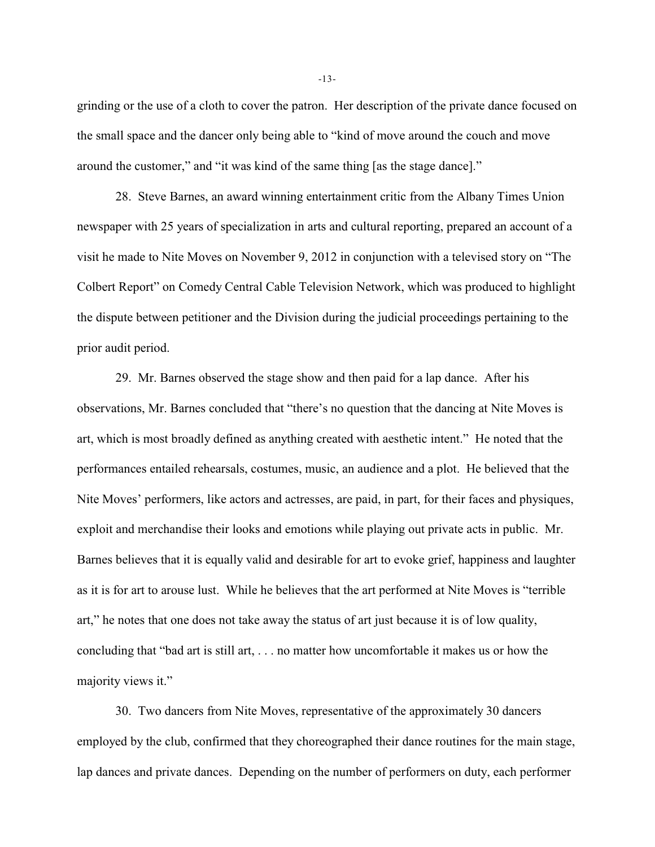grinding or the use of a cloth to cover the patron. Her description of the private dance focused on the small space and the dancer only being able to "kind of move around the couch and move around the customer," and "it was kind of the same thing [as the stage dance]."

28. Steve Barnes, an award winning entertainment critic from the Albany Times Union newspaper with 25 years of specialization in arts and cultural reporting, prepared an account of a visit he made to Nite Moves on November 9, 2012 in conjunction with a televised story on "The Colbert Report" on Comedy Central Cable Television Network, which was produced to highlight the dispute between petitioner and the Division during the judicial proceedings pertaining to the prior audit period.

29. Mr. Barnes observed the stage show and then paid for a lap dance. After his observations, Mr. Barnes concluded that "there's no question that the dancing at Nite Moves is art, which is most broadly defined as anything created with aesthetic intent." He noted that the performances entailed rehearsals, costumes, music, an audience and a plot. He believed that the Nite Moves' performers, like actors and actresses, are paid, in part, for their faces and physiques, exploit and merchandise their looks and emotions while playing out private acts in public. Mr. Barnes believes that it is equally valid and desirable for art to evoke grief, happiness and laughter as it is for art to arouse lust. While he believes that the art performed at Nite Moves is "terrible art," he notes that one does not take away the status of art just because it is of low quality, concluding that "bad art is still art, . . . no matter how uncomfortable it makes us or how the majority views it."

30. Two dancers from Nite Moves, representative of the approximately 30 dancers employed by the club, confirmed that they choreographed their dance routines for the main stage, lap dances and private dances. Depending on the number of performers on duty, each performer

-13-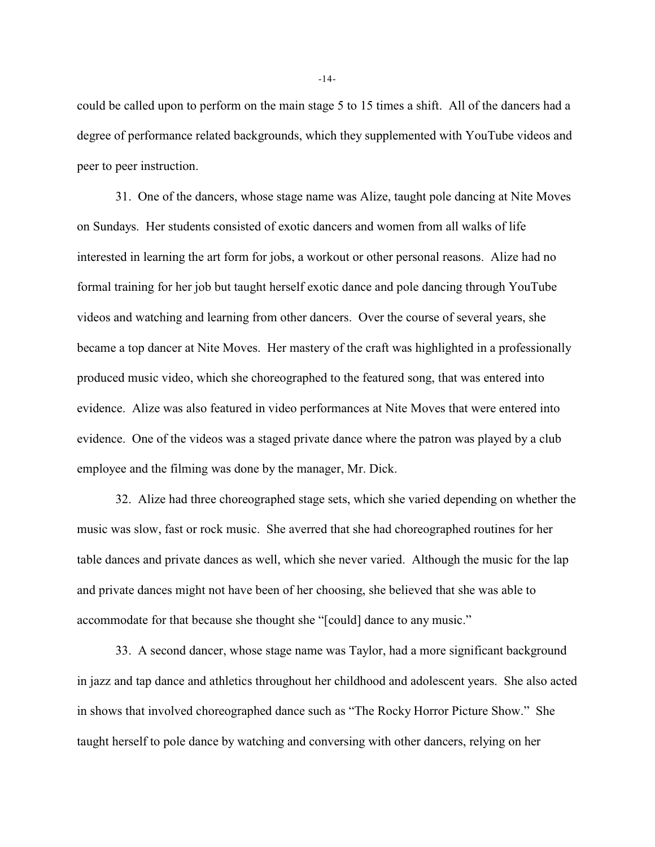could be called upon to perform on the main stage 5 to 15 times a shift. All of the dancers had a degree of performance related backgrounds, which they supplemented with YouTube videos and peer to peer instruction.

31. One of the dancers, whose stage name was Alize, taught pole dancing at Nite Moves on Sundays. Her students consisted of exotic dancers and women from all walks of life interested in learning the art form for jobs, a workout or other personal reasons. Alize had no formal training for her job but taught herself exotic dance and pole dancing through YouTube videos and watching and learning from other dancers. Over the course of several years, she became a top dancer at Nite Moves. Her mastery of the craft was highlighted in a professionally produced music video, which she choreographed to the featured song, that was entered into evidence. Alize was also featured in video performances at Nite Moves that were entered into evidence. One of the videos was a staged private dance where the patron was played by a club employee and the filming was done by the manager, Mr. Dick.

32. Alize had three choreographed stage sets, which she varied depending on whether the music was slow, fast or rock music. She averred that she had choreographed routines for her table dances and private dances as well, which she never varied. Although the music for the lap and private dances might not have been of her choosing, she believed that she was able to accommodate for that because she thought she "[could] dance to any music."

33. A second dancer, whose stage name was Taylor, had a more significant background in jazz and tap dance and athletics throughout her childhood and adolescent years. She also acted in shows that involved choreographed dance such as "The Rocky Horror Picture Show." She taught herself to pole dance by watching and conversing with other dancers, relying on her

-14-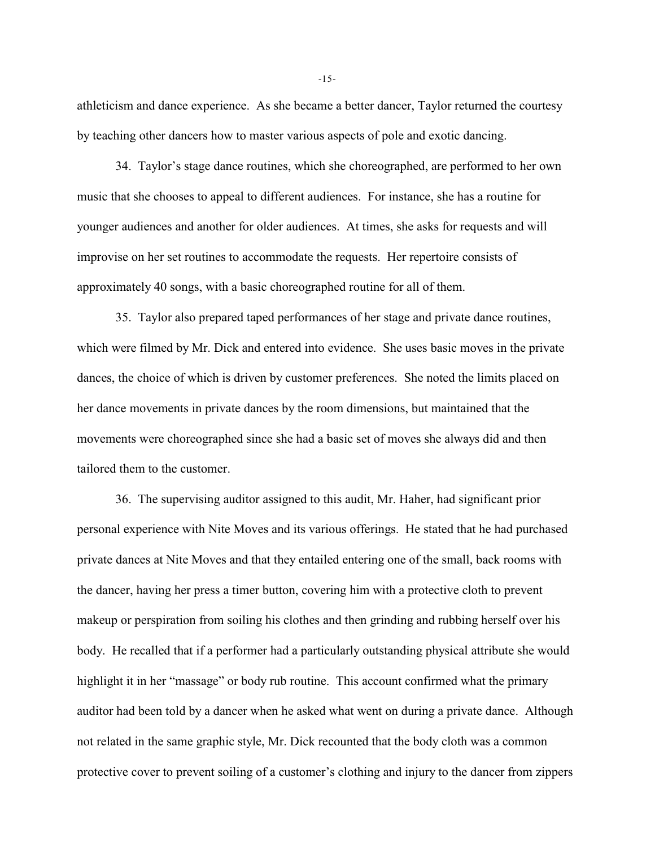athleticism and dance experience. As she became a better dancer, Taylor returned the courtesy by teaching other dancers how to master various aspects of pole and exotic dancing.

34. Taylor's stage dance routines, which she choreographed, are performed to her own music that she chooses to appeal to different audiences. For instance, she has a routine for younger audiences and another for older audiences. At times, she asks for requests and will improvise on her set routines to accommodate the requests. Her repertoire consists of approximately 40 songs, with a basic choreographed routine for all of them.

35. Taylor also prepared taped performances of her stage and private dance routines, which were filmed by Mr. Dick and entered into evidence. She uses basic moves in the private dances, the choice of which is driven by customer preferences. She noted the limits placed on her dance movements in private dances by the room dimensions, but maintained that the movements were choreographed since she had a basic set of moves she always did and then tailored them to the customer.

36. The supervising auditor assigned to this audit, Mr. Haher, had significant prior personal experience with Nite Moves and its various offerings. He stated that he had purchased private dances at Nite Moves and that they entailed entering one of the small, back rooms with the dancer, having her press a timer button, covering him with a protective cloth to prevent makeup or perspiration from soiling his clothes and then grinding and rubbing herself over his body. He recalled that if a performer had a particularly outstanding physical attribute she would highlight it in her "massage" or body rub routine. This account confirmed what the primary auditor had been told by a dancer when he asked what went on during a private dance. Although not related in the same graphic style, Mr. Dick recounted that the body cloth was a common protective cover to prevent soiling of a customer's clothing and injury to the dancer from zippers

-15-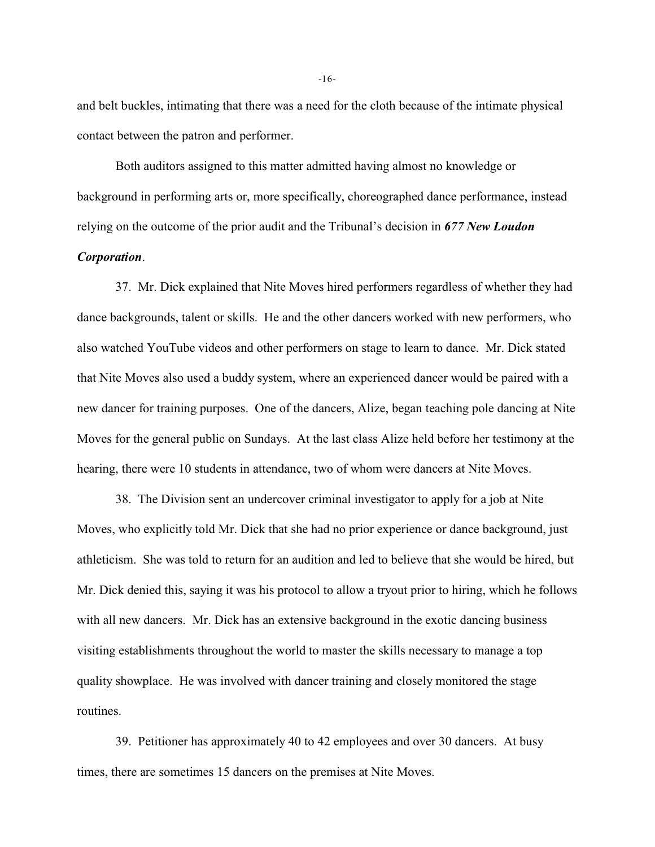and belt buckles, intimating that there was a need for the cloth because of the intimate physical contact between the patron and performer.

Both auditors assigned to this matter admitted having almost no knowledge or background in performing arts or, more specifically, choreographed dance performance, instead relying on the outcome of the prior audit and the Tribunal's decision in *677 New Loudon Corporation*.

37. Mr. Dick explained that Nite Moves hired performers regardless of whether they had dance backgrounds, talent or skills. He and the other dancers worked with new performers, who also watched YouTube videos and other performers on stage to learn to dance. Mr. Dick stated that Nite Moves also used a buddy system, where an experienced dancer would be paired with a new dancer for training purposes. One of the dancers, Alize, began teaching pole dancing at Nite Moves for the general public on Sundays. At the last class Alize held before her testimony at the hearing, there were 10 students in attendance, two of whom were dancers at Nite Moves.

38. The Division sent an undercover criminal investigator to apply for a job at Nite Moves, who explicitly told Mr. Dick that she had no prior experience or dance background, just athleticism. She was told to return for an audition and led to believe that she would be hired, but Mr. Dick denied this, saying it was his protocol to allow a tryout prior to hiring, which he follows with all new dancers. Mr. Dick has an extensive background in the exotic dancing business visiting establishments throughout the world to master the skills necessary to manage a top quality showplace. He was involved with dancer training and closely monitored the stage routines.

39. Petitioner has approximately 40 to 42 employees and over 30 dancers. At busy times, there are sometimes 15 dancers on the premises at Nite Moves.

-16-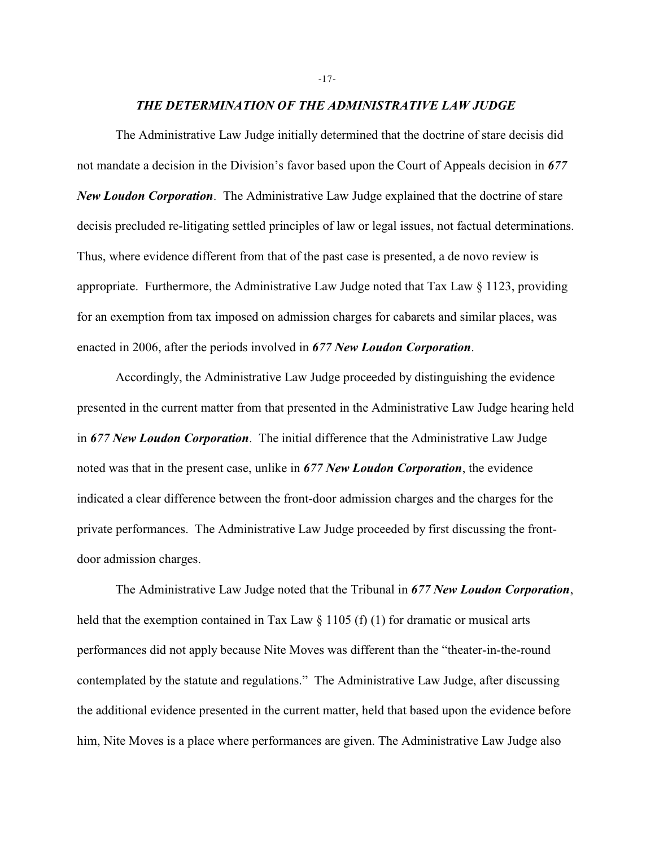### *THE DETERMINATION OF THE ADMINISTRATIVE LAW JUDGE*

The Administrative Law Judge initially determined that the doctrine of stare decisis did not mandate a decision in the Division's favor based upon the Court of Appeals decision in *677 New Loudon Corporation*. The Administrative Law Judge explained that the doctrine of stare decisis precluded re-litigating settled principles of law or legal issues, not factual determinations. Thus, where evidence different from that of the past case is presented, a de novo review is appropriate. Furthermore, the Administrative Law Judge noted that Tax Law  $\S 1123$ , providing for an exemption from tax imposed on admission charges for cabarets and similar places, was enacted in 2006, after the periods involved in *677 New Loudon Corporation*.

Accordingly, the Administrative Law Judge proceeded by distinguishing the evidence presented in the current matter from that presented in the Administrative Law Judge hearing held in *677 New Loudon Corporation*. The initial difference that the Administrative Law Judge noted was that in the present case, unlike in *677 New Loudon Corporation*, the evidence indicated a clear difference between the front-door admission charges and the charges for the private performances. The Administrative Law Judge proceeded by first discussing the frontdoor admission charges.

The Administrative Law Judge noted that the Tribunal in *677 New Loudon Corporation*, held that the exemption contained in Tax Law  $\S 1105$  (f) (1) for dramatic or musical arts performances did not apply because Nite Moves was different than the "theater-in-the-round contemplated by the statute and regulations." The Administrative Law Judge, after discussing the additional evidence presented in the current matter, held that based upon the evidence before him, Nite Moves is a place where performances are given. The Administrative Law Judge also

#### -17-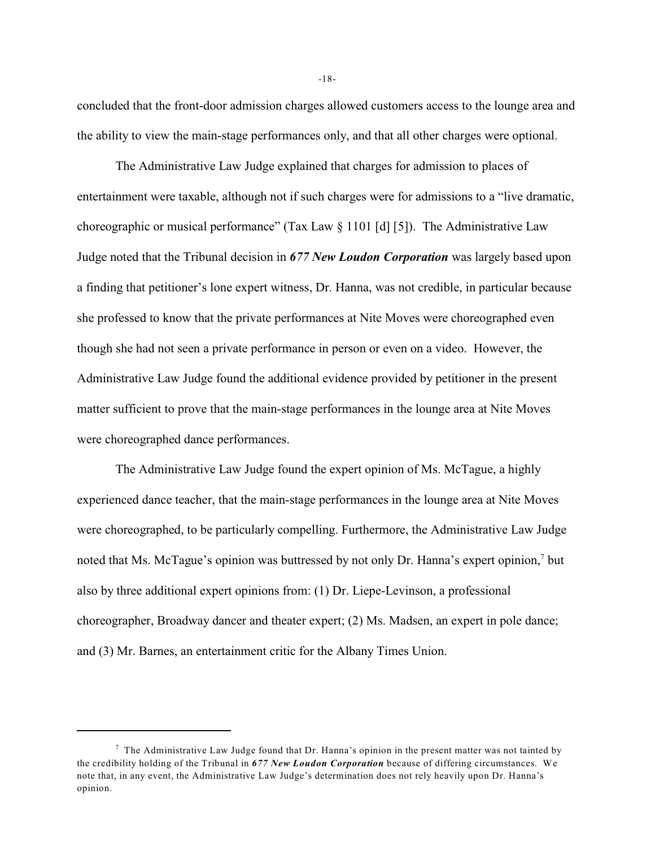concluded that the front-door admission charges allowed customers access to the lounge area and the ability to view the main-stage performances only, and that all other charges were optional.

The Administrative Law Judge explained that charges for admission to places of entertainment were taxable, although not if such charges were for admissions to a "live dramatic, choreographic or musical performance" (Tax Law § 1101 [d] [5]). The Administrative Law Judge noted that the Tribunal decision in *677 New Loudon Corporation* was largely based upon a finding that petitioner's lone expert witness, Dr. Hanna, was not credible, in particular because she professed to know that the private performances at Nite Moves were choreographed even though she had not seen a private performance in person or even on a video. However, the Administrative Law Judge found the additional evidence provided by petitioner in the present matter sufficient to prove that the main-stage performances in the lounge area at Nite Moves were choreographed dance performances.

The Administrative Law Judge found the expert opinion of Ms. McTague, a highly experienced dance teacher, that the main-stage performances in the lounge area at Nite Moves were choreographed, to be particularly compelling. Furthermore, the Administrative Law Judge noted that Ms. McTague's opinion was buttressed by not only Dr. Hanna's expert opinion,<sup>7</sup> but also by three additional expert opinions from: (1) Dr. Liepe-Levinson, a professional choreographer, Broadway dancer and theater expert; (2) Ms. Madsen, an expert in pole dance; and (3) Mr. Barnes, an entertainment critic for the Albany Times Union.

-18-

 $\frac{7}{7}$  The Administrative Law Judge found that Dr. Hanna's opinion in the present matter was not tainted by the credibility holding of the Tribunal in *677 New Loudon Corporation* because of differing circumstances. We note that, in any event, the Administrative Law Judge's determination does not rely heavily upon Dr. Hanna's opinion.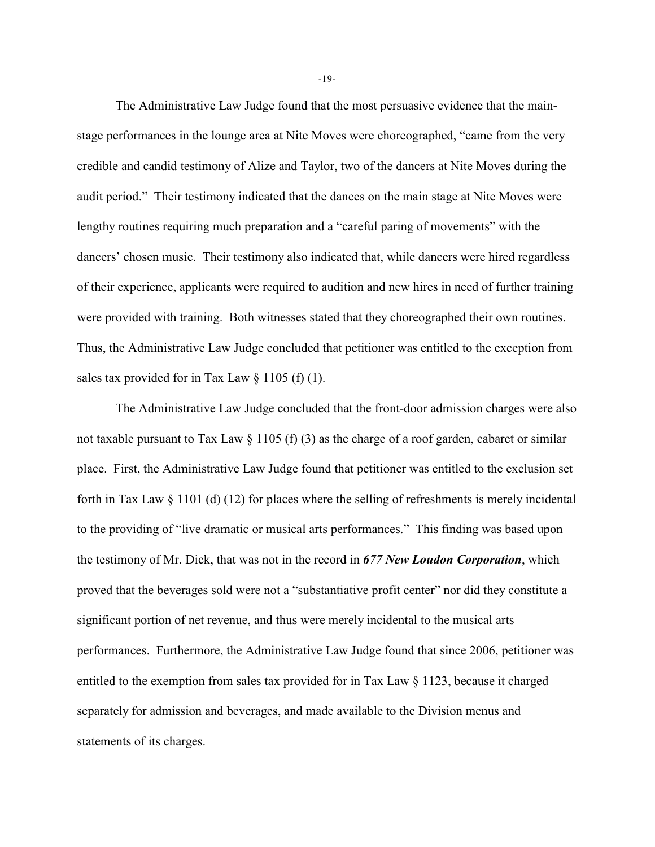The Administrative Law Judge found that the most persuasive evidence that the mainstage performances in the lounge area at Nite Moves were choreographed, "came from the very credible and candid testimony of Alize and Taylor, two of the dancers at Nite Moves during the audit period." Their testimony indicated that the dances on the main stage at Nite Moves were lengthy routines requiring much preparation and a "careful paring of movements" with the dancers' chosen music. Their testimony also indicated that, while dancers were hired regardless of their experience, applicants were required to audition and new hires in need of further training were provided with training. Both witnesses stated that they choreographed their own routines. Thus, the Administrative Law Judge concluded that petitioner was entitled to the exception from sales tax provided for in Tax Law  $\S$  1105 (f) (1).

The Administrative Law Judge concluded that the front-door admission charges were also not taxable pursuant to Tax Law § 1105 (f) (3) as the charge of a roof garden, cabaret or similar place. First, the Administrative Law Judge found that petitioner was entitled to the exclusion set forth in Tax Law § 1101 (d) (12) for places where the selling of refreshments is merely incidental to the providing of "live dramatic or musical arts performances." This finding was based upon the testimony of Mr. Dick, that was not in the record in *677 New Loudon Corporation*, which proved that the beverages sold were not a "substantiative profit center" nor did they constitute a significant portion of net revenue, and thus were merely incidental to the musical arts performances. Furthermore, the Administrative Law Judge found that since 2006, petitioner was entitled to the exemption from sales tax provided for in Tax Law  $\S$  1123, because it charged separately for admission and beverages, and made available to the Division menus and statements of its charges.

-19-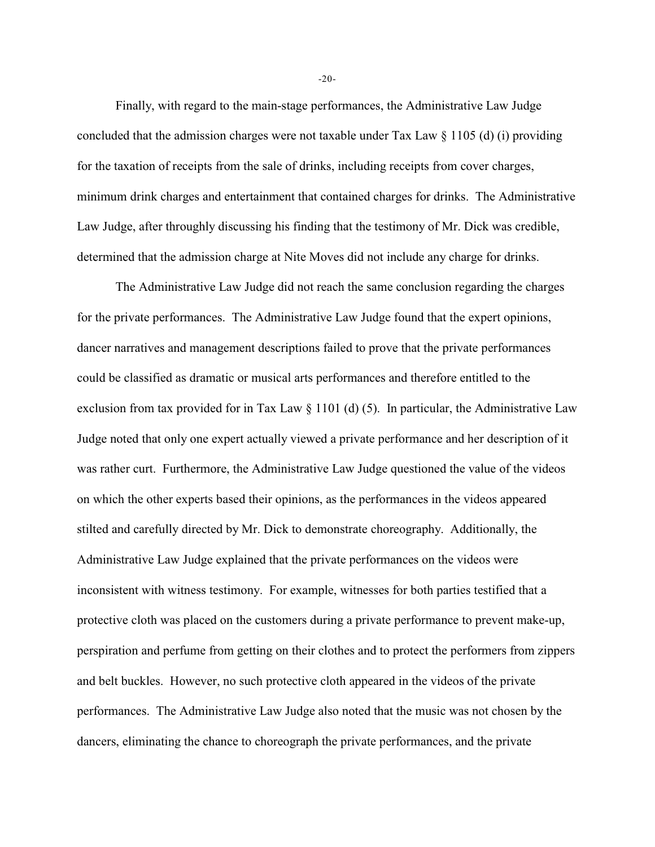Finally, with regard to the main-stage performances, the Administrative Law Judge concluded that the admission charges were not taxable under Tax Law § 1105 (d) (i) providing for the taxation of receipts from the sale of drinks, including receipts from cover charges, minimum drink charges and entertainment that contained charges for drinks. The Administrative Law Judge, after throughly discussing his finding that the testimony of Mr. Dick was credible, determined that the admission charge at Nite Moves did not include any charge for drinks.

The Administrative Law Judge did not reach the same conclusion regarding the charges for the private performances. The Administrative Law Judge found that the expert opinions, dancer narratives and management descriptions failed to prove that the private performances could be classified as dramatic or musical arts performances and therefore entitled to the exclusion from tax provided for in Tax Law § 1101 (d) (5). In particular, the Administrative Law Judge noted that only one expert actually viewed a private performance and her description of it was rather curt. Furthermore, the Administrative Law Judge questioned the value of the videos on which the other experts based their opinions, as the performances in the videos appeared stilted and carefully directed by Mr. Dick to demonstrate choreography. Additionally, the Administrative Law Judge explained that the private performances on the videos were inconsistent with witness testimony. For example, witnesses for both parties testified that a protective cloth was placed on the customers during a private performance to prevent make-up, perspiration and perfume from getting on their clothes and to protect the performers from zippers and belt buckles. However, no such protective cloth appeared in the videos of the private performances. The Administrative Law Judge also noted that the music was not chosen by the dancers, eliminating the chance to choreograph the private performances, and the private

-20-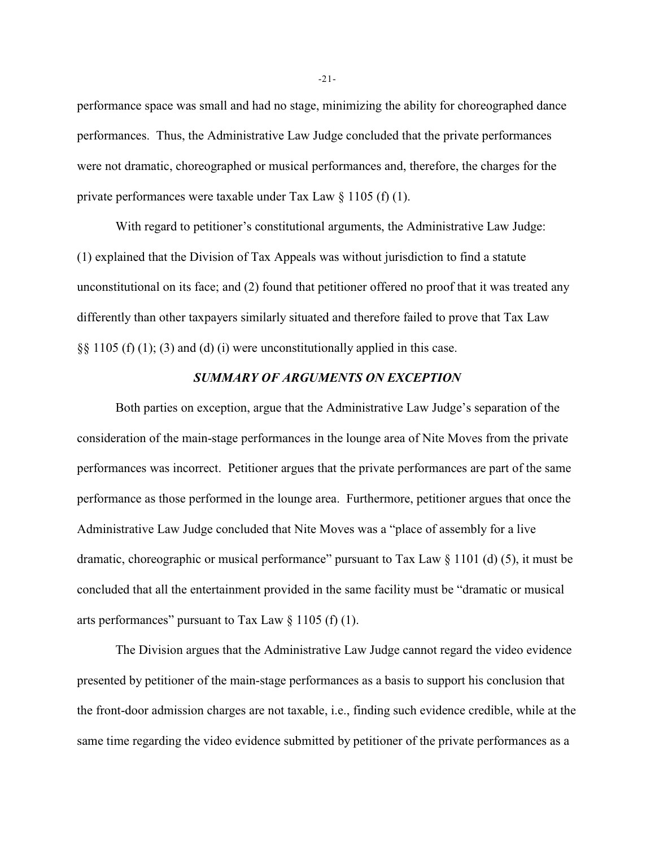performance space was small and had no stage, minimizing the ability for choreographed dance performances. Thus, the Administrative Law Judge concluded that the private performances were not dramatic, choreographed or musical performances and, therefore, the charges for the private performances were taxable under Tax Law § 1105 (f) (1).

With regard to petitioner's constitutional arguments, the Administrative Law Judge: (1) explained that the Division of Tax Appeals was without jurisdiction to find a statute unconstitutional on its face; and (2) found that petitioner offered no proof that it was treated any differently than other taxpayers similarly situated and therefore failed to prove that Tax Law  $\S$ § 1105 (f) (1); (3) and (d) (i) were unconstitutionally applied in this case.

## *SUMMARY OF ARGUMENTS ON EXCEPTION*

Both parties on exception, argue that the Administrative Law Judge's separation of the consideration of the main-stage performances in the lounge area of Nite Moves from the private performances was incorrect. Petitioner argues that the private performances are part of the same performance as those performed in the lounge area. Furthermore, petitioner argues that once the Administrative Law Judge concluded that Nite Moves was a "place of assembly for a live dramatic, choreographic or musical performance" pursuant to Tax Law § 1101 (d) (5), it must be concluded that all the entertainment provided in the same facility must be "dramatic or musical arts performances" pursuant to Tax Law  $\S 1105$  (f) (1).

The Division argues that the Administrative Law Judge cannot regard the video evidence presented by petitioner of the main-stage performances as a basis to support his conclusion that the front-door admission charges are not taxable, i.e., finding such evidence credible, while at the same time regarding the video evidence submitted by petitioner of the private performances as a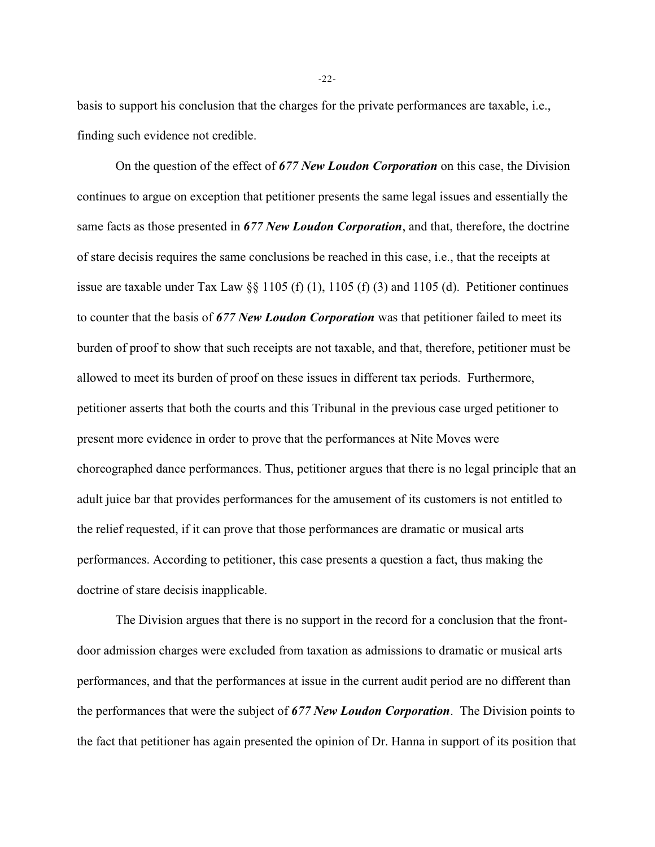basis to support his conclusion that the charges for the private performances are taxable, i.e., finding such evidence not credible.

On the question of the effect of *677 New Loudon Corporation* on this case, the Division continues to argue on exception that petitioner presents the same legal issues and essentially the same facts as those presented in *677 New Loudon Corporation*, and that, therefore, the doctrine of stare decisis requires the same conclusions be reached in this case, i.e., that the receipts at issue are taxable under Tax Law §§ 1105 (f) (1), 1105 (f) (3) and 1105 (d). Petitioner continues to counter that the basis of *677 New Loudon Corporation* was that petitioner failed to meet its burden of proof to show that such receipts are not taxable, and that, therefore, petitioner must be allowed to meet its burden of proof on these issues in different tax periods. Furthermore, petitioner asserts that both the courts and this Tribunal in the previous case urged petitioner to present more evidence in order to prove that the performances at Nite Moves were choreographed dance performances. Thus, petitioner argues that there is no legal principle that an adult juice bar that provides performances for the amusement of its customers is not entitled to the relief requested, if it can prove that those performances are dramatic or musical arts performances. According to petitioner, this case presents a question a fact, thus making the doctrine of stare decisis inapplicable.

The Division argues that there is no support in the record for a conclusion that the frontdoor admission charges were excluded from taxation as admissions to dramatic or musical arts performances, and that the performances at issue in the current audit period are no different than the performances that were the subject of *677 New Loudon Corporation*. The Division points to the fact that petitioner has again presented the opinion of Dr. Hanna in support of its position that

-22-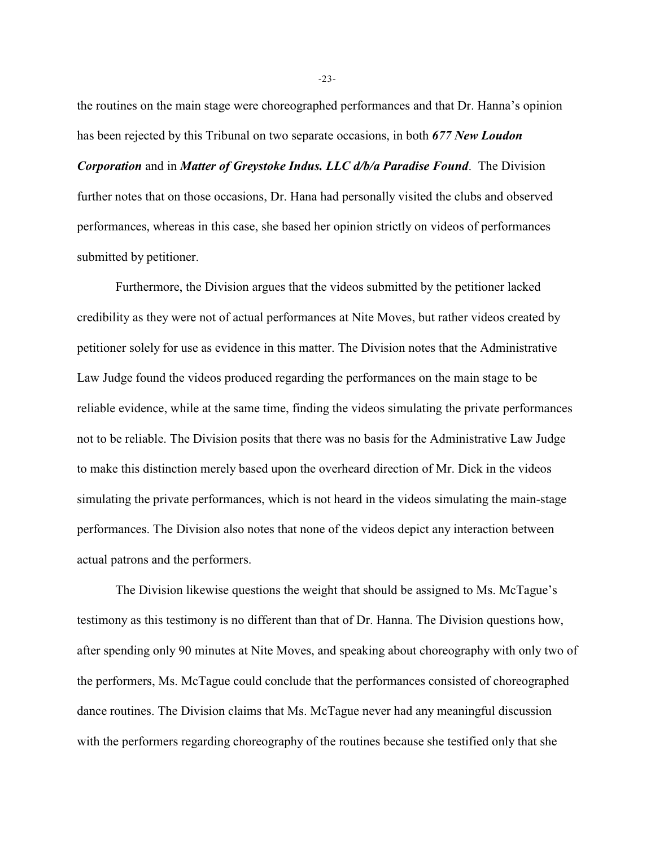the routines on the main stage were choreographed performances and that Dr. Hanna's opinion has been rejected by this Tribunal on two separate occasions, in both *677 New Loudon*

*Corporation* and in *Matter of Greystoke Indus. LLC d/b/a Paradise Found*. The Division further notes that on those occasions, Dr. Hana had personally visited the clubs and observed performances, whereas in this case, she based her opinion strictly on videos of performances submitted by petitioner.

Furthermore, the Division argues that the videos submitted by the petitioner lacked credibility as they were not of actual performances at Nite Moves, but rather videos created by petitioner solely for use as evidence in this matter. The Division notes that the Administrative Law Judge found the videos produced regarding the performances on the main stage to be reliable evidence, while at the same time, finding the videos simulating the private performances not to be reliable. The Division posits that there was no basis for the Administrative Law Judge to make this distinction merely based upon the overheard direction of Mr. Dick in the videos simulating the private performances, which is not heard in the videos simulating the main-stage performances. The Division also notes that none of the videos depict any interaction between actual patrons and the performers.

The Division likewise questions the weight that should be assigned to Ms. McTague's testimony as this testimony is no different than that of Dr. Hanna. The Division questions how, after spending only 90 minutes at Nite Moves, and speaking about choreography with only two of the performers, Ms. McTague could conclude that the performances consisted of choreographed dance routines. The Division claims that Ms. McTague never had any meaningful discussion with the performers regarding choreography of the routines because she testified only that she

-23-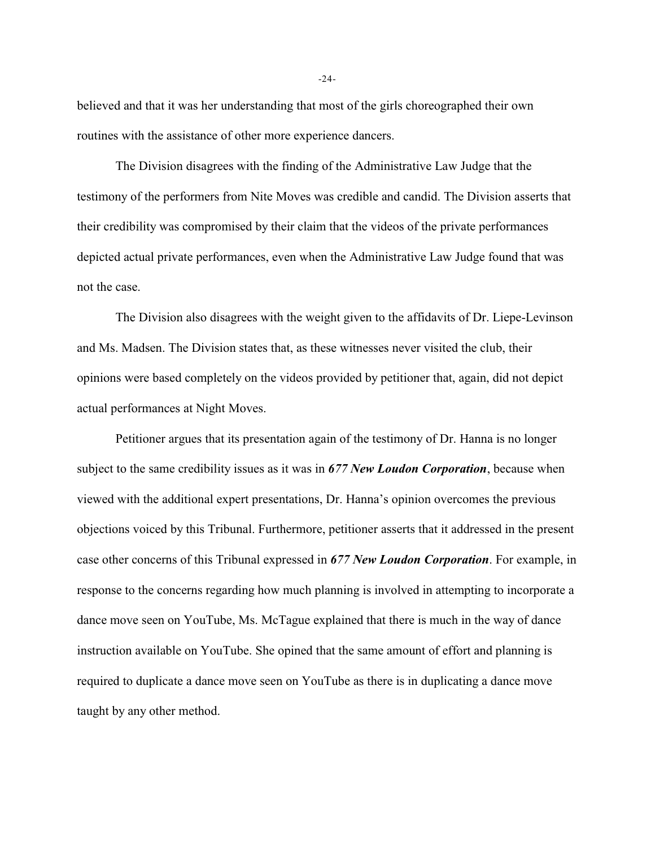believed and that it was her understanding that most of the girls choreographed their own routines with the assistance of other more experience dancers.

The Division disagrees with the finding of the Administrative Law Judge that the testimony of the performers from Nite Moves was credible and candid. The Division asserts that their credibility was compromised by their claim that the videos of the private performances depicted actual private performances, even when the Administrative Law Judge found that was not the case.

The Division also disagrees with the weight given to the affidavits of Dr. Liepe-Levinson and Ms. Madsen. The Division states that, as these witnesses never visited the club, their opinions were based completely on the videos provided by petitioner that, again, did not depict actual performances at Night Moves.

Petitioner argues that its presentation again of the testimony of Dr. Hanna is no longer subject to the same credibility issues as it was in *677 New Loudon Corporation*, because when viewed with the additional expert presentations, Dr. Hanna's opinion overcomes the previous objections voiced by this Tribunal. Furthermore, petitioner asserts that it addressed in the present case other concerns of this Tribunal expressed in *677 New Loudon Corporation*. For example, in response to the concerns regarding how much planning is involved in attempting to incorporate a dance move seen on YouTube, Ms. McTague explained that there is much in the way of dance instruction available on YouTube. She opined that the same amount of effort and planning is required to duplicate a dance move seen on YouTube as there is in duplicating a dance move taught by any other method.

-24-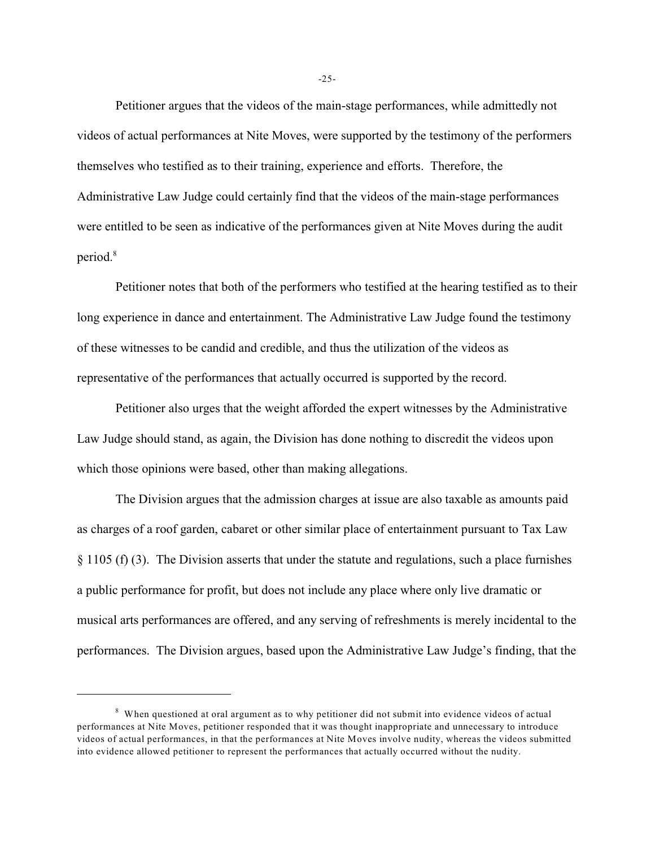Petitioner argues that the videos of the main-stage performances, while admittedly not videos of actual performances at Nite Moves, were supported by the testimony of the performers themselves who testified as to their training, experience and efforts. Therefore, the Administrative Law Judge could certainly find that the videos of the main-stage performances were entitled to be seen as indicative of the performances given at Nite Moves during the audit period.<sup>8</sup>

Petitioner notes that both of the performers who testified at the hearing testified as to their long experience in dance and entertainment. The Administrative Law Judge found the testimony of these witnesses to be candid and credible, and thus the utilization of the videos as representative of the performances that actually occurred is supported by the record.

Petitioner also urges that the weight afforded the expert witnesses by the Administrative Law Judge should stand, as again, the Division has done nothing to discredit the videos upon which those opinions were based, other than making allegations.

The Division argues that the admission charges at issue are also taxable as amounts paid as charges of a roof garden, cabaret or other similar place of entertainment pursuant to Tax Law § 1105 (f) (3). The Division asserts that under the statute and regulations, such a place furnishes a public performance for profit, but does not include any place where only live dramatic or musical arts performances are offered, and any serving of refreshments is merely incidental to the performances. The Division argues, based upon the Administrative Law Judge's finding, that the

-25-

<sup>&</sup>lt;sup>8</sup> When questioned at oral argument as to why petitioner did not submit into evidence videos of actual performances at Nite Moves, petitioner responded that it was thought inappropriate and unnecessary to introduce videos of actual performances, in that the performances at Nite Moves involve nudity, whereas the videos submitted into evidence allowed petitioner to represent the performances that actually occurred without the nudity.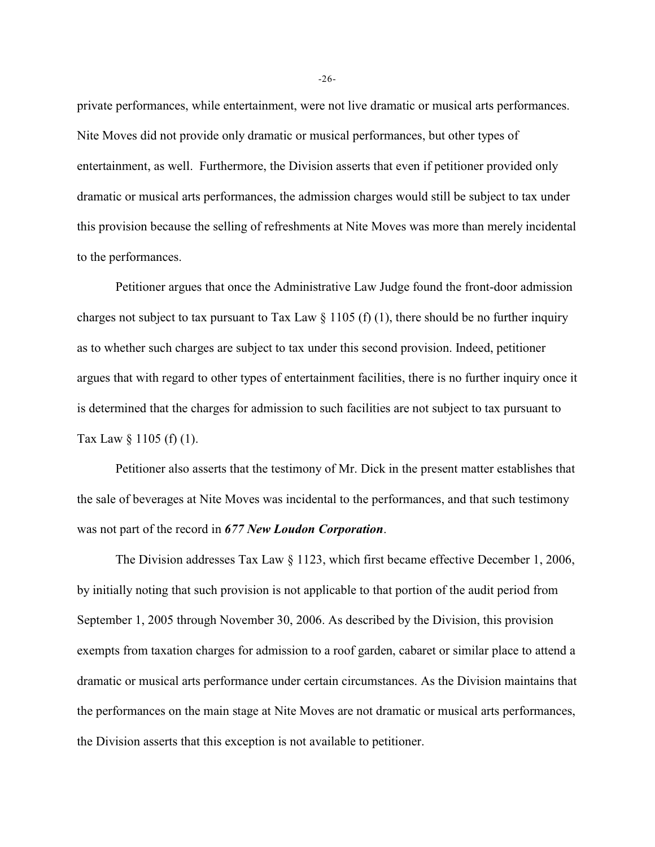private performances, while entertainment, were not live dramatic or musical arts performances. Nite Moves did not provide only dramatic or musical performances, but other types of entertainment, as well. Furthermore, the Division asserts that even if petitioner provided only dramatic or musical arts performances, the admission charges would still be subject to tax under this provision because the selling of refreshments at Nite Moves was more than merely incidental to the performances.

Petitioner argues that once the Administrative Law Judge found the front-door admission charges not subject to tax pursuant to Tax Law  $\S 1105$  (f) (1), there should be no further inquiry as to whether such charges are subject to tax under this second provision. Indeed, petitioner argues that with regard to other types of entertainment facilities, there is no further inquiry once it is determined that the charges for admission to such facilities are not subject to tax pursuant to Tax Law § 1105 (f) (1).

Petitioner also asserts that the testimony of Mr. Dick in the present matter establishes that the sale of beverages at Nite Moves was incidental to the performances, and that such testimony was not part of the record in *677 New Loudon Corporation*.

The Division addresses Tax Law § 1123, which first became effective December 1, 2006, by initially noting that such provision is not applicable to that portion of the audit period from September 1, 2005 through November 30, 2006. As described by the Division, this provision exempts from taxation charges for admission to a roof garden, cabaret or similar place to attend a dramatic or musical arts performance under certain circumstances. As the Division maintains that the performances on the main stage at Nite Moves are not dramatic or musical arts performances, the Division asserts that this exception is not available to petitioner.

-26-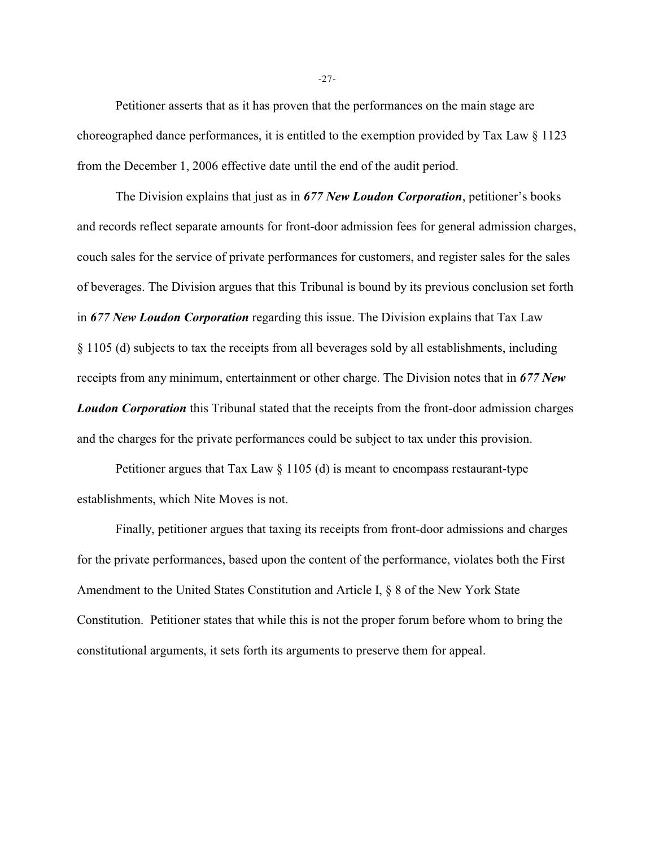Petitioner asserts that as it has proven that the performances on the main stage are choreographed dance performances, it is entitled to the exemption provided by Tax Law § 1123 from the December 1, 2006 effective date until the end of the audit period.

The Division explains that just as in *677 New Loudon Corporation*, petitioner's books and records reflect separate amounts for front-door admission fees for general admission charges, couch sales for the service of private performances for customers, and register sales for the sales of beverages. The Division argues that this Tribunal is bound by its previous conclusion set forth in *677 New Loudon Corporation* regarding this issue. The Division explains that Tax Law § 1105 (d) subjects to tax the receipts from all beverages sold by all establishments, including receipts from any minimum, entertainment or other charge. The Division notes that in *677 New Loudon Corporation* this Tribunal stated that the receipts from the front-door admission charges and the charges for the private performances could be subject to tax under this provision.

Petitioner argues that Tax Law  $\S 1105$  (d) is meant to encompass restaurant-type establishments, which Nite Moves is not.

Finally, petitioner argues that taxing its receipts from front-door admissions and charges for the private performances, based upon the content of the performance, violates both the First Amendment to the United States Constitution and Article I, § 8 of the New York State Constitution. Petitioner states that while this is not the proper forum before whom to bring the constitutional arguments, it sets forth its arguments to preserve them for appeal.

-27-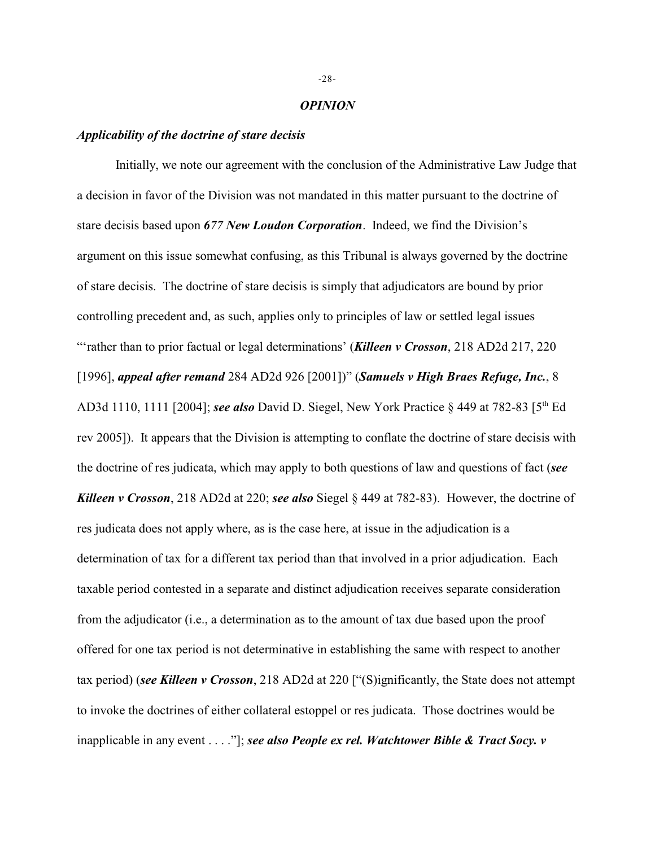#### *OPINION*

### *Applicability of the doctrine of stare decisis*

Initially, we note our agreement with the conclusion of the Administrative Law Judge that a decision in favor of the Division was not mandated in this matter pursuant to the doctrine of stare decisis based upon *677 New Loudon Corporation*. Indeed, we find the Division's argument on this issue somewhat confusing, as this Tribunal is always governed by the doctrine of stare decisis. The doctrine of stare decisis is simply that adjudicators are bound by prior controlling precedent and, as such, applies only to principles of law or settled legal issues "'rather than to prior factual or legal determinations' (*Killeen v Crosson*, 218 AD2d 217, 220 [1996], *appeal after remand* 284 AD2d 926 [2001])" (*Samuels v High Braes Refuge, Inc.*, 8 AD3d 1110, 1111 [2004]; *see also* David D. Siegel, New York Practice § 449 at 782-83 [5<sup>th</sup> Ed rev 2005]). It appears that the Division is attempting to conflate the doctrine of stare decisis with the doctrine of res judicata, which may apply to both questions of law and questions of fact (*see Killeen v Crosson*, 218 AD2d at 220; *see also* Siegel § 449 at 782-83). However, the doctrine of res judicata does not apply where, as is the case here, at issue in the adjudication is a determination of tax for a different tax period than that involved in a prior adjudication. Each taxable period contested in a separate and distinct adjudication receives separate consideration from the adjudicator (i.e., a determination as to the amount of tax due based upon the proof offered for one tax period is not determinative in establishing the same with respect to another tax period) (*see Killeen v Crosson*, 218 AD2d at 220 ["(S)ignificantly, the State does not attempt to invoke the doctrines of either collateral estoppel or res judicata. Those doctrines would be inapplicable in any event . . . ."]; *see also People ex rel. Watchtower Bible & Tract Socy. v*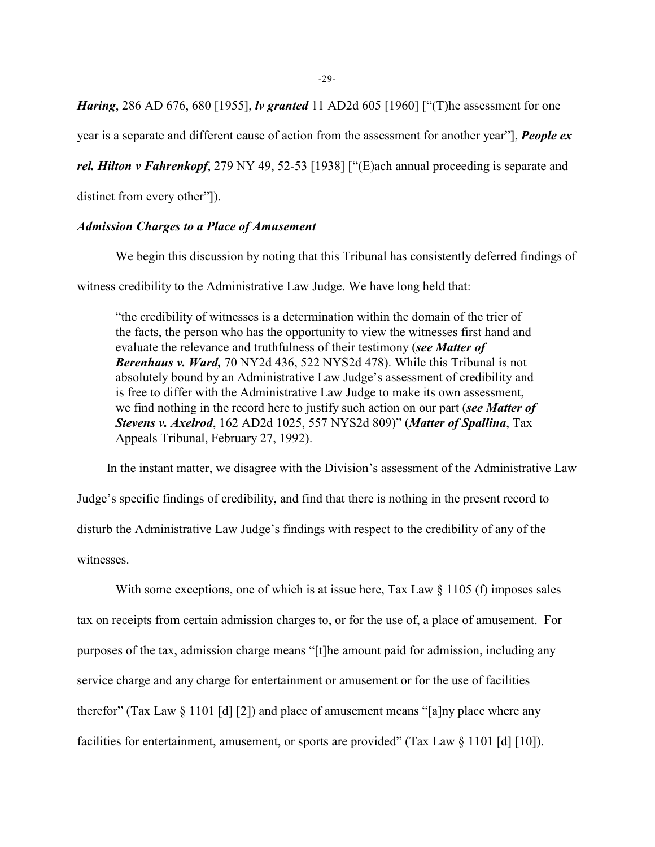-29-

*Haring*, 286 AD 676, 680 [1955], *lv granted* 11 AD2d 605 [1960] ["(T)he assessment for one

year is a separate and different cause of action from the assessment for another year"], *People ex*

*rel. Hilton v Fahrenkopf*, 279 NY 49, 52-53 [1938] ["(E)ach annual proceeding is separate and

distinct from every other"]).

### *Admission Charges to a Place of Amusement*

We begin this discussion by noting that this Tribunal has consistently deferred findings of witness credibility to the Administrative Law Judge. We have long held that:

"the credibility of witnesses is a determination within the domain of the trier of the facts, the person who has the opportunity to view the witnesses first hand and evaluate the relevance and truthfulness of their testimony (*see Matter of Berenhaus v. Ward,* 70 NY2d 436, 522 NYS2d 478). While this Tribunal is not absolutely bound by an Administrative Law Judge's assessment of credibility and is free to differ with the Administrative Law Judge to make its own assessment, we find nothing in the record here to justify such action on our part (*see Matter of Stevens v. Axelrod*, 162 AD2d 1025, 557 NYS2d 809)" (*Matter of Spallina*, Tax Appeals Tribunal, February 27, 1992).

 In the instant matter, we disagree with the Division's assessment of the Administrative Law Judge's specific findings of credibility, and find that there is nothing in the present record to disturb the Administrative Law Judge's findings with respect to the credibility of any of the witnesses.

With some exceptions, one of which is at issue here, Tax Law  $\S$  1105 (f) imposes sales tax on receipts from certain admission charges to, or for the use of, a place of amusement. For purposes of the tax, admission charge means "[t]he amount paid for admission, including any service charge and any charge for entertainment or amusement or for the use of facilities therefor" (Tax Law  $\S 1101$  [d] [2]) and place of amusement means "[a]ny place where any facilities for entertainment, amusement, or sports are provided" (Tax Law § 1101 [d] [10]).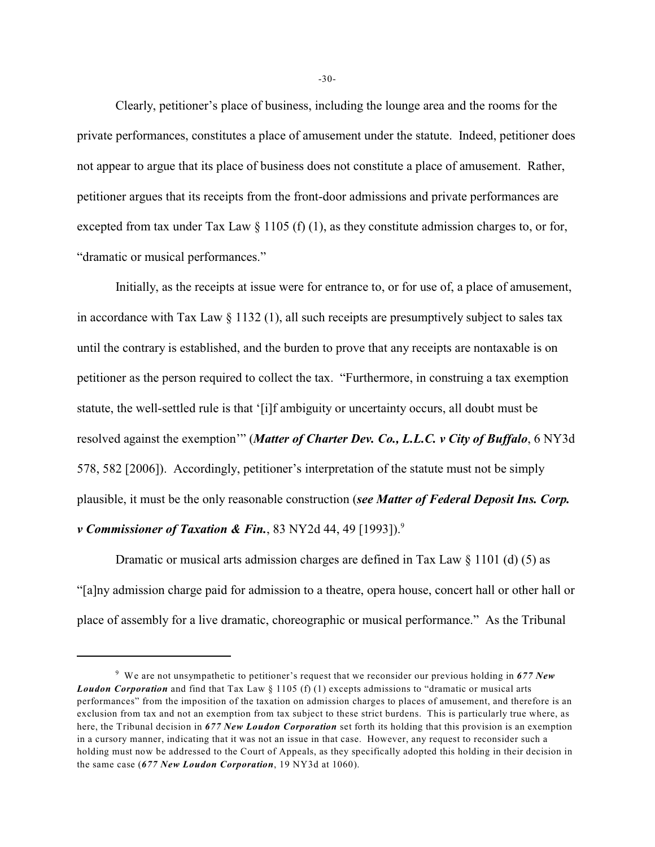Clearly, petitioner's place of business, including the lounge area and the rooms for the private performances, constitutes a place of amusement under the statute. Indeed, petitioner does not appear to argue that its place of business does not constitute a place of amusement. Rather, petitioner argues that its receipts from the front-door admissions and private performances are excepted from tax under Tax Law  $\S$  1105 (f) (1), as they constitute admission charges to, or for, "dramatic or musical performances."

Initially, as the receipts at issue were for entrance to, or for use of, a place of amusement, in accordance with Tax Law § 1132 (1), all such receipts are presumptively subject to sales tax until the contrary is established, and the burden to prove that any receipts are nontaxable is on petitioner as the person required to collect the tax. "Furthermore, in construing a tax exemption statute, the well-settled rule is that '[i]f ambiguity or uncertainty occurs, all doubt must be resolved against the exemption'" (*Matter of Charter Dev. Co., L.L.C. v City of Buffalo*, 6 NY3d 578, 582 [2006]). Accordingly, petitioner's interpretation of the statute must not be simply plausible, it must be the only reasonable construction (*see Matter of Federal Deposit Ins. Corp. v* Commissioner of Taxation & Fin., 83 NY2d 44, 49 [1993]).<sup>9</sup>

Dramatic or musical arts admission charges are defined in Tax Law  $\S$  1101 (d) (5) as "[a]ny admission charge paid for admission to a theatre, opera house, concert hall or other hall or place of assembly for a live dramatic, choreographic or musical performance." As the Tribunal

<sup>&</sup>lt;sup>9</sup> We are not unsympathetic to petitioner's request that we reconsider our previous holding in 677 New *Loudon Corporation* and find that Tax Law § 1105 (f) (1) excepts admissions to "dramatic or musical arts performances" from the imposition of the taxation on admission charges to places of amusement, and therefore is an exclusion from tax and not an exemption from tax subject to these strict burdens. This is particularly true where, as here, the Tribunal decision in *677 New Loudon Corporation* set forth its holding that this provision is an exemption in a cursory manner, indicating that it was not an issue in that case. However, any request to reconsider such a holding must now be addressed to the Court of Appeals, as they specifically adopted this holding in their decision in the same case (*677 New Loudon Corporation*, 19 NY3d at 1060).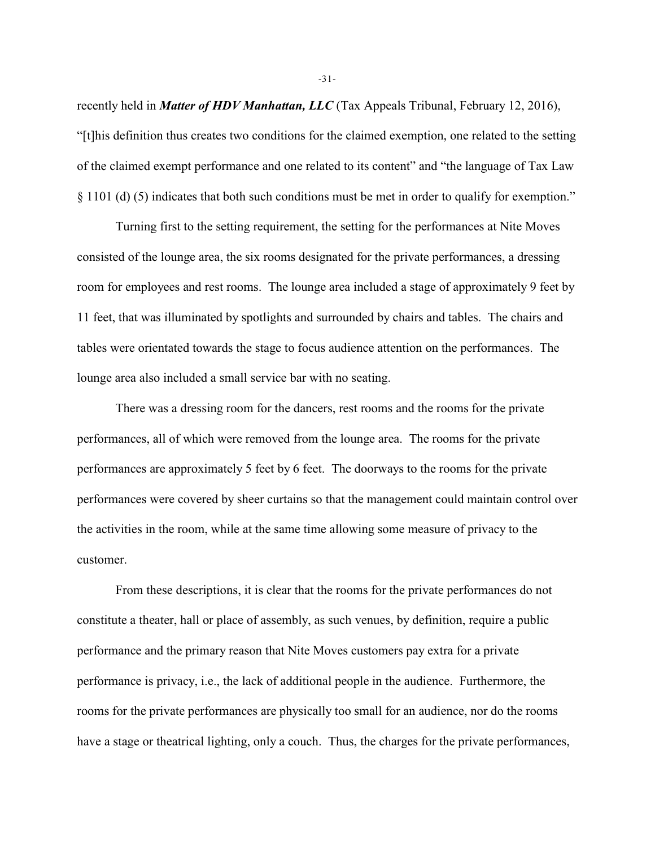recently held in *Matter of HDV Manhattan, LLC* (Tax Appeals Tribunal, February 12, 2016), "[t]his definition thus creates two conditions for the claimed exemption, one related to the setting of the claimed exempt performance and one related to its content" and "the language of Tax Law § 1101 (d) (5) indicates that both such conditions must be met in order to qualify for exemption."

Turning first to the setting requirement, the setting for the performances at Nite Moves consisted of the lounge area, the six rooms designated for the private performances, a dressing room for employees and rest rooms. The lounge area included a stage of approximately 9 feet by 11 feet, that was illuminated by spotlights and surrounded by chairs and tables. The chairs and tables were orientated towards the stage to focus audience attention on the performances. The lounge area also included a small service bar with no seating.

There was a dressing room for the dancers, rest rooms and the rooms for the private performances, all of which were removed from the lounge area. The rooms for the private performances are approximately 5 feet by 6 feet. The doorways to the rooms for the private performances were covered by sheer curtains so that the management could maintain control over the activities in the room, while at the same time allowing some measure of privacy to the customer.

From these descriptions, it is clear that the rooms for the private performances do not constitute a theater, hall or place of assembly, as such venues, by definition, require a public performance and the primary reason that Nite Moves customers pay extra for a private performance is privacy, i.e., the lack of additional people in the audience. Furthermore, the rooms for the private performances are physically too small for an audience, nor do the rooms have a stage or theatrical lighting, only a couch. Thus, the charges for the private performances,

-31-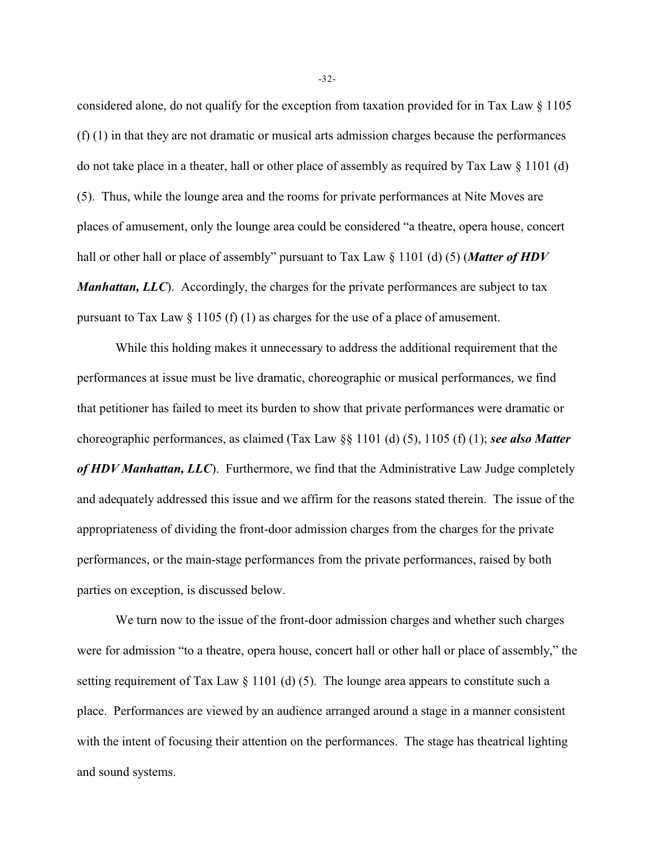considered alone, do not qualify for the exception from taxation provided for in Tax Law § 1105 (f) (1) in that they are not dramatic or musical arts admission charges because the performances do not take place in a theater, hall or other place of assembly as required by Tax Law  $\S$  1101 (d) (5). Thus, while the lounge area and the rooms for private performances at Nite Moves are places of amusement, only the lounge area could be considered "a theatre, opera house, concert hall or other hall or place of assembly" pursuant to Tax Law § 1101 (d) (5) (*Matter of HDV Manhattan, LLC*). Accordingly, the charges for the private performances are subject to tax pursuant to Tax Law § 1105 (f) (1) as charges for the use of a place of amusement.

While this holding makes it unnecessary to address the additional requirement that the performances at issue must be live dramatic, choreographic or musical performances, we find that petitioner has failed to meet its burden to show that private performances were dramatic or choreographic performances, as claimed (Tax Law §§ 1101 (d) (5), 1105 (f) (1); *see also Matter of HDV Manhattan, LLC*). Furthermore, we find that the Administrative Law Judge completely and adequately addressed this issue and we affirm for the reasons stated therein. The issue of the appropriateness of dividing the front-door admission charges from the charges for the private performances, or the main-stage performances from the private performances, raised by both parties on exception, is discussed below.

We turn now to the issue of the front-door admission charges and whether such charges were for admission "to a theatre, opera house, concert hall or other hall or place of assembly," the setting requirement of Tax Law  $\S 1101$  (d) (5). The lounge area appears to constitute such a place. Performances are viewed by an audience arranged around a stage in a manner consistent with the intent of focusing their attention on the performances. The stage has theatrical lighting and sound systems.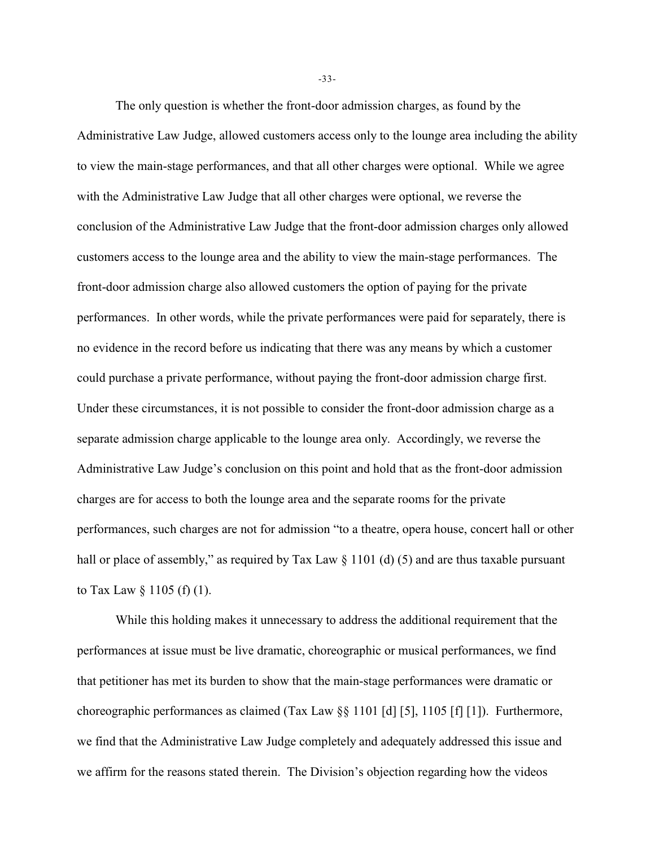The only question is whether the front-door admission charges, as found by the Administrative Law Judge, allowed customers access only to the lounge area including the ability to view the main-stage performances, and that all other charges were optional. While we agree with the Administrative Law Judge that all other charges were optional, we reverse the conclusion of the Administrative Law Judge that the front-door admission charges only allowed customers access to the lounge area and the ability to view the main-stage performances. The front-door admission charge also allowed customers the option of paying for the private performances. In other words, while the private performances were paid for separately, there is no evidence in the record before us indicating that there was any means by which a customer could purchase a private performance, without paying the front-door admission charge first. Under these circumstances, it is not possible to consider the front-door admission charge as a separate admission charge applicable to the lounge area only. Accordingly, we reverse the Administrative Law Judge's conclusion on this point and hold that as the front-door admission charges are for access to both the lounge area and the separate rooms for the private performances, such charges are not for admission "to a theatre, opera house, concert hall or other hall or place of assembly," as required by Tax Law  $\S 1101$  (d) (5) and are thus taxable pursuant to Tax Law  $\S 1105$  (f) (1).

While this holding makes it unnecessary to address the additional requirement that the performances at issue must be live dramatic, choreographic or musical performances, we find that petitioner has met its burden to show that the main-stage performances were dramatic or choreographic performances as claimed (Tax Law §§ 1101 [d] [5], 1105 [f] [1]). Furthermore, we find that the Administrative Law Judge completely and adequately addressed this issue and we affirm for the reasons stated therein. The Division's objection regarding how the videos

-33-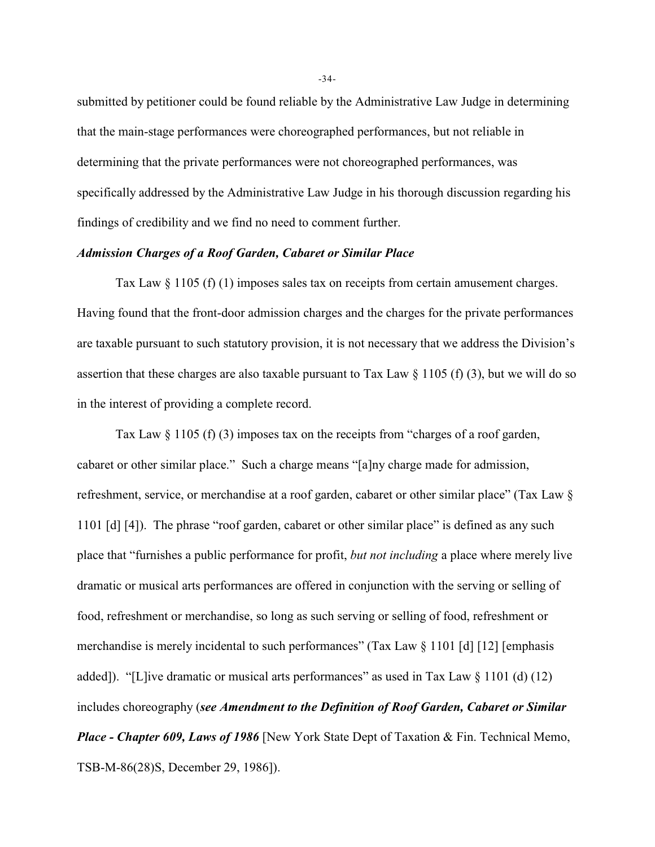submitted by petitioner could be found reliable by the Administrative Law Judge in determining that the main-stage performances were choreographed performances, but not reliable in determining that the private performances were not choreographed performances, was specifically addressed by the Administrative Law Judge in his thorough discussion regarding his findings of credibility and we find no need to comment further.

### *Admission Charges of a Roof Garden, Cabaret or Similar Place*

Tax Law  $\S 1105$  (f) (1) imposes sales tax on receipts from certain amusement charges. Having found that the front-door admission charges and the charges for the private performances are taxable pursuant to such statutory provision, it is not necessary that we address the Division's assertion that these charges are also taxable pursuant to Tax Law  $\S 1105$  (f) (3), but we will do so in the interest of providing a complete record.

Tax Law  $\S 1105$  (f) (3) imposes tax on the receipts from "charges of a roof garden, cabaret or other similar place." Such a charge means "[a]ny charge made for admission, refreshment, service, or merchandise at a roof garden, cabaret or other similar place" (Tax Law § 1101 [d] [4]). The phrase "roof garden, cabaret or other similar place" is defined as any such place that "furnishes a public performance for profit, *but not including* a place where merely live dramatic or musical arts performances are offered in conjunction with the serving or selling of food, refreshment or merchandise, so long as such serving or selling of food, refreshment or merchandise is merely incidental to such performances" (Tax Law  $\S 1101$  [d] [12] [emphasis added]). "[L]ive dramatic or musical arts performances" as used in Tax Law  $\S$  1101 (d) (12) includes choreography (*see Amendment to the Definition of Roof Garden, Cabaret or Similar Place - Chapter 609, Laws of 1986* [New York State Dept of Taxation & Fin. Technical Memo, TSB-M-86(28)S, December 29, 1986]).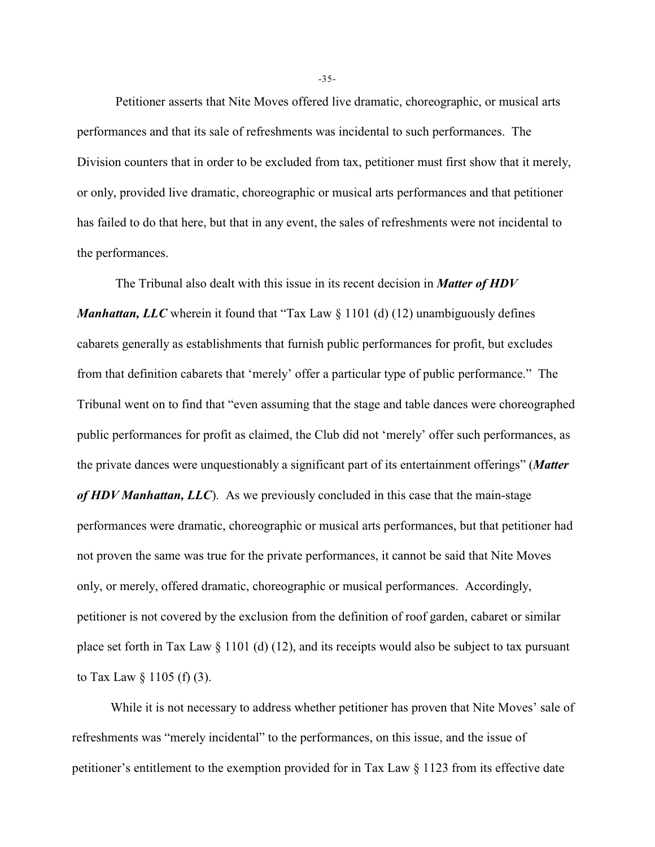Petitioner asserts that Nite Moves offered live dramatic, choreographic, or musical arts performances and that its sale of refreshments was incidental to such performances. The Division counters that in order to be excluded from tax, petitioner must first show that it merely, or only, provided live dramatic, choreographic or musical arts performances and that petitioner has failed to do that here, but that in any event, the sales of refreshments were not incidental to the performances.

The Tribunal also dealt with this issue in its recent decision in *Matter of HDV Manhattan, LLC* wherein it found that "Tax Law  $\S$  1101 (d) (12) unambiguously defines cabarets generally as establishments that furnish public performances for profit, but excludes from that definition cabarets that 'merely' offer a particular type of public performance." The Tribunal went on to find that "even assuming that the stage and table dances were choreographed public performances for profit as claimed, the Club did not 'merely' offer such performances, as the private dances were unquestionably a significant part of its entertainment offerings" (*Matter of HDV Manhattan, LLC*). As we previously concluded in this case that the main-stage performances were dramatic, choreographic or musical arts performances, but that petitioner had not proven the same was true for the private performances, it cannot be said that Nite Moves only, or merely, offered dramatic, choreographic or musical performances. Accordingly, petitioner is not covered by the exclusion from the definition of roof garden, cabaret or similar place set forth in Tax Law § 1101 (d) (12), and its receipts would also be subject to tax pursuant to Tax Law  $\S$  1105 (f) (3).

While it is not necessary to address whether petitioner has proven that Nite Moves' sale of refreshments was "merely incidental" to the performances, on this issue, and the issue of petitioner's entitlement to the exemption provided for in Tax Law § 1123 from its effective date

-35-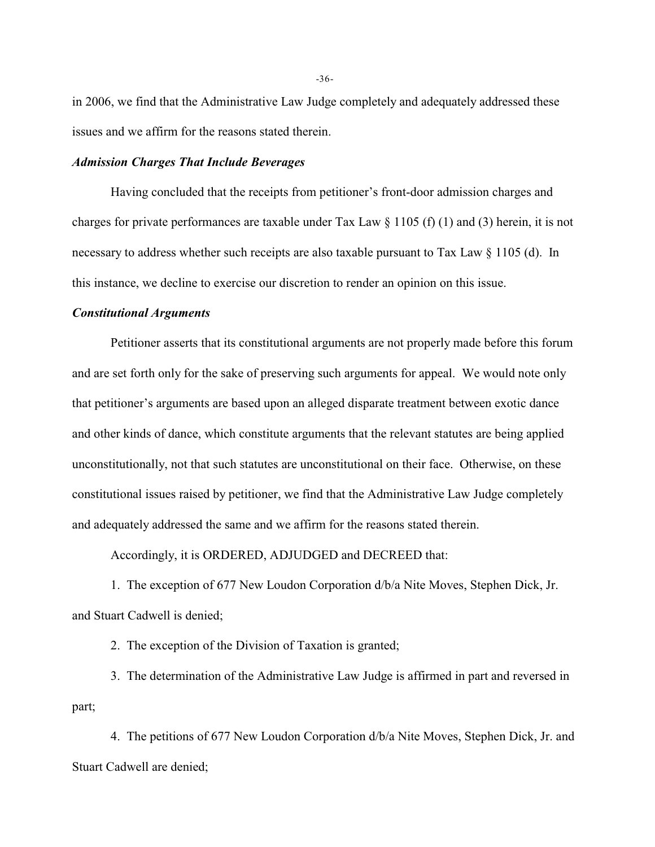in 2006, we find that the Administrative Law Judge completely and adequately addressed these issues and we affirm for the reasons stated therein.

### *Admission Charges That Include Beverages*

Having concluded that the receipts from petitioner's front-door admission charges and charges for private performances are taxable under Tax Law  $\S 1105$  (f) (1) and (3) herein, it is not necessary to address whether such receipts are also taxable pursuant to Tax Law § 1105 (d). In this instance, we decline to exercise our discretion to render an opinion on this issue.

### *Constitutional Arguments*

Petitioner asserts that its constitutional arguments are not properly made before this forum and are set forth only for the sake of preserving such arguments for appeal. We would note only that petitioner's arguments are based upon an alleged disparate treatment between exotic dance and other kinds of dance, which constitute arguments that the relevant statutes are being applied unconstitutionally, not that such statutes are unconstitutional on their face. Otherwise, on these constitutional issues raised by petitioner, we find that the Administrative Law Judge completely and adequately addressed the same and we affirm for the reasons stated therein.

Accordingly, it is ORDERED, ADJUDGED and DECREED that:

1. The exception of 677 New Loudon Corporation d/b/a Nite Moves, Stephen Dick, Jr. and Stuart Cadwell is denied;

2. The exception of the Division of Taxation is granted;

3. The determination of the Administrative Law Judge is affirmed in part and reversed in part;

4. The petitions of 677 New Loudon Corporation d/b/a Nite Moves, Stephen Dick, Jr. and Stuart Cadwell are denied;

-36-